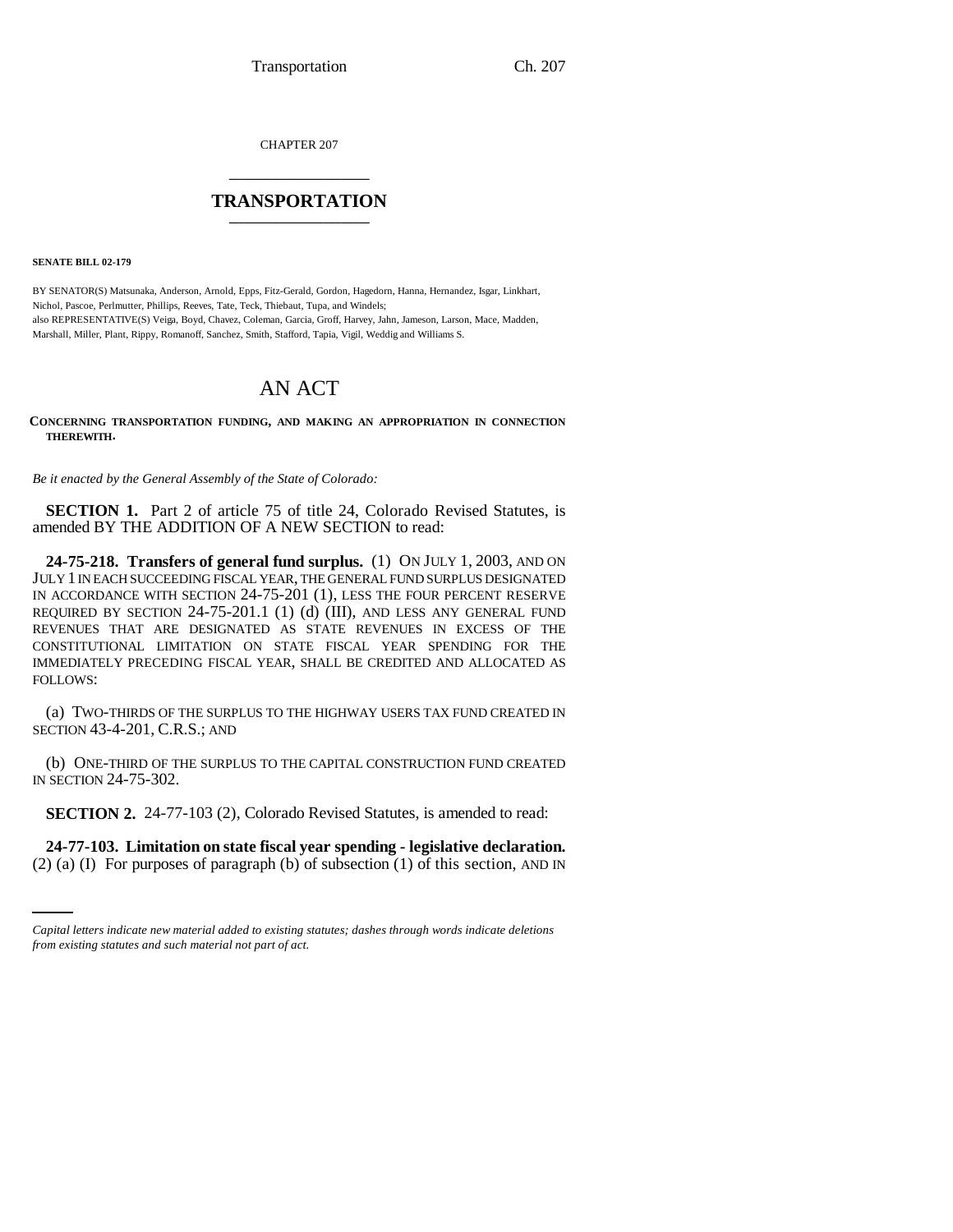CHAPTER 207 \_\_\_\_\_\_\_\_\_\_\_\_\_\_\_

## **TRANSPORTATION** \_\_\_\_\_\_\_\_\_\_\_\_\_\_\_

**SENATE BILL 02-179**

BY SENATOR(S) Matsunaka, Anderson, Arnold, Epps, Fitz-Gerald, Gordon, Hagedorn, Hanna, Hernandez, Isgar, Linkhart, Nichol, Pascoe, Perlmutter, Phillips, Reeves, Tate, Teck, Thiebaut, Tupa, and Windels; also REPRESENTATIVE(S) Veiga, Boyd, Chavez, Coleman, Garcia, Groff, Harvey, Jahn, Jameson, Larson, Mace, Madden, Marshall, Miller, Plant, Rippy, Romanoff, Sanchez, Smith, Stafford, Tapia, Vigil, Weddig and Williams S.

# AN ACT

**CONCERNING TRANSPORTATION FUNDING, AND MAKING AN APPROPRIATION IN CONNECTION THEREWITH.**

*Be it enacted by the General Assembly of the State of Colorado:*

**SECTION 1.** Part 2 of article 75 of title 24, Colorado Revised Statutes, is amended BY THE ADDITION OF A NEW SECTION to read:

**24-75-218. Transfers of general fund surplus.** (1) ON JULY 1, 2003, AND ON JULY 1 IN EACH SUCCEEDING FISCAL YEAR, THE GENERAL FUND SURPLUS DESIGNATED IN ACCORDANCE WITH SECTION 24-75-201 (1), LESS THE FOUR PERCENT RESERVE REQUIRED BY SECTION 24-75-201.1 (1) (d) (III), AND LESS ANY GENERAL FUND REVENUES THAT ARE DESIGNATED AS STATE REVENUES IN EXCESS OF THE CONSTITUTIONAL LIMITATION ON STATE FISCAL YEAR SPENDING FOR THE IMMEDIATELY PRECEDING FISCAL YEAR, SHALL BE CREDITED AND ALLOCATED AS FOLLOWS:

(a) TWO-THIRDS OF THE SURPLUS TO THE HIGHWAY USERS TAX FUND CREATED IN SECTION 43-4-201, C.R.S.; AND

(b) ONE-THIRD OF THE SURPLUS TO THE CAPITAL CONSTRUCTION FUND CREATED IN SECTION 24-75-302.

**SECTION 2.** 24-77-103 (2), Colorado Revised Statutes, is amended to read:

 $\sim$ **24-77-103. Limitation on state fiscal year spending - legislative declaration.** (2) (a) (I) For purposes of paragraph (b) of subsection (1) of this section, AND IN

*Capital letters indicate new material added to existing statutes; dashes through words indicate deletions from existing statutes and such material not part of act.*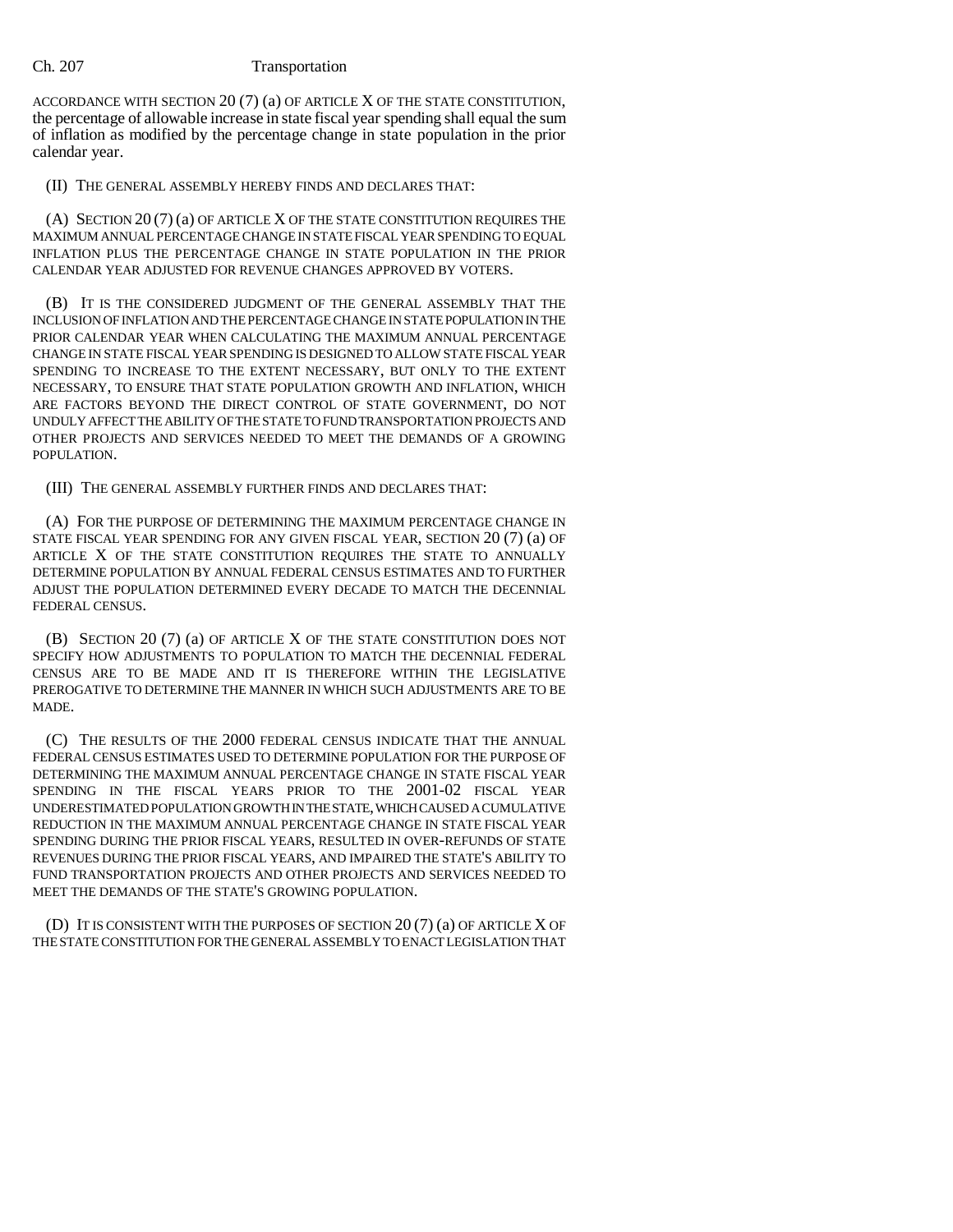ACCORDANCE WITH SECTION 20 (7) (a) OF ARTICLE X OF THE STATE CONSTITUTION, the percentage of allowable increase in state fiscal year spending shall equal the sum of inflation as modified by the percentage change in state population in the prior calendar year.

(II) THE GENERAL ASSEMBLY HEREBY FINDS AND DECLARES THAT:

(A) SECTION 20 (7) (a) OF ARTICLE X OF THE STATE CONSTITUTION REQUIRES THE MAXIMUM ANNUAL PERCENTAGE CHANGE IN STATE FISCAL YEAR SPENDING TO EQUAL INFLATION PLUS THE PERCENTAGE CHANGE IN STATE POPULATION IN THE PRIOR CALENDAR YEAR ADJUSTED FOR REVENUE CHANGES APPROVED BY VOTERS.

(B) IT IS THE CONSIDERED JUDGMENT OF THE GENERAL ASSEMBLY THAT THE INCLUSION OF INFLATION AND THE PERCENTAGE CHANGE IN STATE POPULATION IN THE PRIOR CALENDAR YEAR WHEN CALCULATING THE MAXIMUM ANNUAL PERCENTAGE CHANGE IN STATE FISCAL YEAR SPENDING IS DESIGNED TO ALLOW STATE FISCAL YEAR SPENDING TO INCREASE TO THE EXTENT NECESSARY, BUT ONLY TO THE EXTENT NECESSARY, TO ENSURE THAT STATE POPULATION GROWTH AND INFLATION, WHICH ARE FACTORS BEYOND THE DIRECT CONTROL OF STATE GOVERNMENT, DO NOT UNDULY AFFECT THE ABILITY OF THE STATE TO FUND TRANSPORTATION PROJECTS AND OTHER PROJECTS AND SERVICES NEEDED TO MEET THE DEMANDS OF A GROWING POPULATION.

(III) THE GENERAL ASSEMBLY FURTHER FINDS AND DECLARES THAT:

(A) FOR THE PURPOSE OF DETERMINING THE MAXIMUM PERCENTAGE CHANGE IN STATE FISCAL YEAR SPENDING FOR ANY GIVEN FISCAL YEAR, SECTION 20 (7) (a) OF ARTICLE X OF THE STATE CONSTITUTION REQUIRES THE STATE TO ANNUALLY DETERMINE POPULATION BY ANNUAL FEDERAL CENSUS ESTIMATES AND TO FURTHER ADJUST THE POPULATION DETERMINED EVERY DECADE TO MATCH THE DECENNIAL FEDERAL CENSUS.

(B) SECTION 20 (7) (a) OF ARTICLE X OF THE STATE CONSTITUTION DOES NOT SPECIFY HOW ADJUSTMENTS TO POPULATION TO MATCH THE DECENNIAL FEDERAL CENSUS ARE TO BE MADE AND IT IS THEREFORE WITHIN THE LEGISLATIVE PREROGATIVE TO DETERMINE THE MANNER IN WHICH SUCH ADJUSTMENTS ARE TO BE MADE.

(C) THE RESULTS OF THE 2000 FEDERAL CENSUS INDICATE THAT THE ANNUAL FEDERAL CENSUS ESTIMATES USED TO DETERMINE POPULATION FOR THE PURPOSE OF DETERMINING THE MAXIMUM ANNUAL PERCENTAGE CHANGE IN STATE FISCAL YEAR SPENDING IN THE FISCAL YEARS PRIOR TO THE 2001-02 FISCAL YEAR UNDERESTIMATED POPULATION GROWTH IN THE STATE, WHICH CAUSED A CUMULATIVE REDUCTION IN THE MAXIMUM ANNUAL PERCENTAGE CHANGE IN STATE FISCAL YEAR SPENDING DURING THE PRIOR FISCAL YEARS, RESULTED IN OVER-REFUNDS OF STATE REVENUES DURING THE PRIOR FISCAL YEARS, AND IMPAIRED THE STATE'S ABILITY TO FUND TRANSPORTATION PROJECTS AND OTHER PROJECTS AND SERVICES NEEDED TO MEET THE DEMANDS OF THE STATE'S GROWING POPULATION.

(D) IT IS CONSISTENT WITH THE PURPOSES OF SECTION 20 (7) (a) OF ARTICLE X OF THE STATE CONSTITUTION FOR THE GENERAL ASSEMBLY TO ENACT LEGISLATION THAT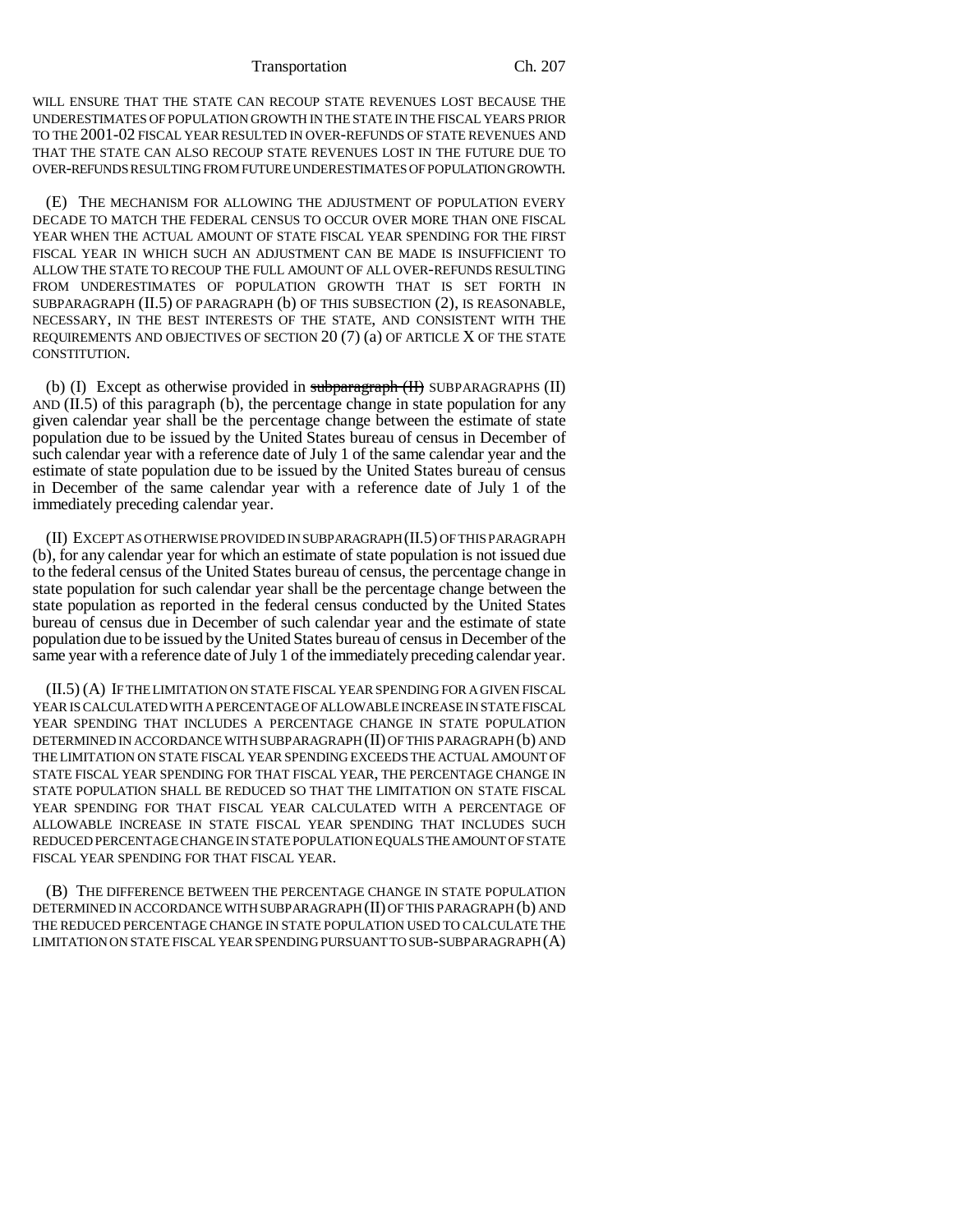#### Transportation Ch. 207

WILL ENSURE THAT THE STATE CAN RECOUP STATE REVENUES LOST BECAUSE THE UNDERESTIMATES OF POPULATION GROWTH IN THE STATE IN THE FISCAL YEARS PRIOR TO THE 2001-02 FISCAL YEAR RESULTED IN OVER-REFUNDS OF STATE REVENUES AND THAT THE STATE CAN ALSO RECOUP STATE REVENUES LOST IN THE FUTURE DUE TO OVER-REFUNDS RESULTING FROM FUTURE UNDERESTIMATES OF POPULATION GROWTH.

(E) THE MECHANISM FOR ALLOWING THE ADJUSTMENT OF POPULATION EVERY DECADE TO MATCH THE FEDERAL CENSUS TO OCCUR OVER MORE THAN ONE FISCAL YEAR WHEN THE ACTUAL AMOUNT OF STATE FISCAL YEAR SPENDING FOR THE FIRST FISCAL YEAR IN WHICH SUCH AN ADJUSTMENT CAN BE MADE IS INSUFFICIENT TO ALLOW THE STATE TO RECOUP THE FULL AMOUNT OF ALL OVER-REFUNDS RESULTING FROM UNDERESTIMATES OF POPULATION GROWTH THAT IS SET FORTH IN SUBPARAGRAPH (II.5) OF PARAGRAPH (b) OF THIS SUBSECTION (2), IS REASONABLE, NECESSARY, IN THE BEST INTERESTS OF THE STATE, AND CONSISTENT WITH THE REQUIREMENTS AND OBJECTIVES OF SECTION 20 (7) (a) OF ARTICLE X OF THE STATE CONSTITUTION.

(b) (I) Except as otherwise provided in subparagraph  $(H)$  SUBPARAGRAPHS (II) AND  $(II.5)$  of this paragraph  $(b)$ , the percentage change in state population for any given calendar year shall be the percentage change between the estimate of state population due to be issued by the United States bureau of census in December of such calendar year with a reference date of July 1 of the same calendar year and the estimate of state population due to be issued by the United States bureau of census in December of the same calendar year with a reference date of July 1 of the immediately preceding calendar year.

(II) EXCEPT AS OTHERWISE PROVIDED IN SUBPARAGRAPH (II.5) OF THIS PARAGRAPH (b), for any calendar year for which an estimate of state population is not issued due to the federal census of the United States bureau of census, the percentage change in state population for such calendar year shall be the percentage change between the state population as reported in the federal census conducted by the United States bureau of census due in December of such calendar year and the estimate of state population due to be issued by the United States bureau of census in December of the same year with a reference date of July 1 of the immediately preceding calendar year.

(II.5) (A) IF THE LIMITATION ON STATE FISCAL YEAR SPENDING FOR A GIVEN FISCAL YEAR IS CALCULATED WITH A PERCENTAGE OF ALLOWABLE INCREASE IN STATE FISCAL YEAR SPENDING THAT INCLUDES A PERCENTAGE CHANGE IN STATE POPULATION DETERMINED IN ACCORDANCE WITH SUBPARAGRAPH (II) OF THIS PARAGRAPH (b) AND THE LIMITATION ON STATE FISCAL YEAR SPENDING EXCEEDS THE ACTUAL AMOUNT OF STATE FISCAL YEAR SPENDING FOR THAT FISCAL YEAR, THE PERCENTAGE CHANGE IN STATE POPULATION SHALL BE REDUCED SO THAT THE LIMITATION ON STATE FISCAL YEAR SPENDING FOR THAT FISCAL YEAR CALCULATED WITH A PERCENTAGE OF ALLOWABLE INCREASE IN STATE FISCAL YEAR SPENDING THAT INCLUDES SUCH REDUCED PERCENTAGE CHANGE IN STATE POPULATION EQUALS THE AMOUNT OF STATE FISCAL YEAR SPENDING FOR THAT FISCAL YEAR.

(B) THE DIFFERENCE BETWEEN THE PERCENTAGE CHANGE IN STATE POPULATION DETERMINED IN ACCORDANCE WITH SUBPARAGRAPH (II) OF THIS PARAGRAPH (b) AND THE REDUCED PERCENTAGE CHANGE IN STATE POPULATION USED TO CALCULATE THE LIMITATION ON STATE FISCAL YEAR SPENDING PURSUANT TO SUB-SUBPARAGRAPH (A)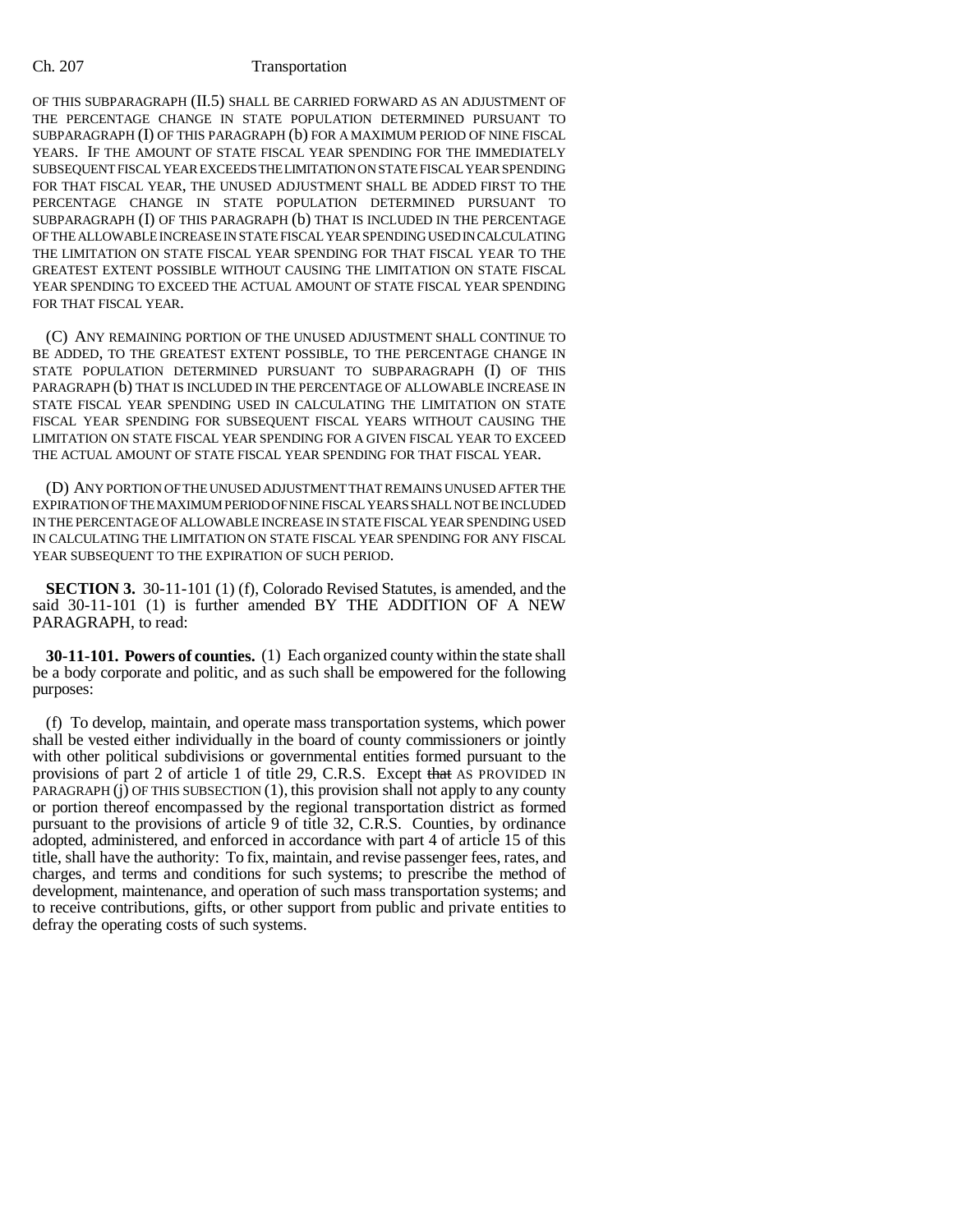OF THIS SUBPARAGRAPH (II.5) SHALL BE CARRIED FORWARD AS AN ADJUSTMENT OF THE PERCENTAGE CHANGE IN STATE POPULATION DETERMINED PURSUANT TO SUBPARAGRAPH (I) OF THIS PARAGRAPH (b) FOR A MAXIMUM PERIOD OF NINE FISCAL YEARS. IF THE AMOUNT OF STATE FISCAL YEAR SPENDING FOR THE IMMEDIATELY SUBSEQUENT FISCAL YEAR EXCEEDS THE LIMITATION ON STATE FISCAL YEAR SPENDING FOR THAT FISCAL YEAR, THE UNUSED ADJUSTMENT SHALL BE ADDED FIRST TO THE PERCENTAGE CHANGE IN STATE POPULATION DETERMINED PURSUANT TO SUBPARAGRAPH (I) OF THIS PARAGRAPH (b) THAT IS INCLUDED IN THE PERCENTAGE OF THE ALLOWABLE INCREASE IN STATE FISCAL YEAR SPENDING USED IN CALCULATING THE LIMITATION ON STATE FISCAL YEAR SPENDING FOR THAT FISCAL YEAR TO THE GREATEST EXTENT POSSIBLE WITHOUT CAUSING THE LIMITATION ON STATE FISCAL YEAR SPENDING TO EXCEED THE ACTUAL AMOUNT OF STATE FISCAL YEAR SPENDING FOR THAT FISCAL YEAR.

(C) ANY REMAINING PORTION OF THE UNUSED ADJUSTMENT SHALL CONTINUE TO BE ADDED, TO THE GREATEST EXTENT POSSIBLE, TO THE PERCENTAGE CHANGE IN STATE POPULATION DETERMINED PURSUANT TO SUBPARAGRAPH (I) OF THIS PARAGRAPH (b) THAT IS INCLUDED IN THE PERCENTAGE OF ALLOWABLE INCREASE IN STATE FISCAL YEAR SPENDING USED IN CALCULATING THE LIMITATION ON STATE FISCAL YEAR SPENDING FOR SUBSEQUENT FISCAL YEARS WITHOUT CAUSING THE LIMITATION ON STATE FISCAL YEAR SPENDING FOR A GIVEN FISCAL YEAR TO EXCEED THE ACTUAL AMOUNT OF STATE FISCAL YEAR SPENDING FOR THAT FISCAL YEAR.

(D) ANY PORTION OF THE UNUSED ADJUSTMENT THAT REMAINS UNUSED AFTER THE EXPIRATION OF THE MAXIMUM PERIOD OF NINE FISCAL YEARS SHALL NOT BE INCLUDED IN THE PERCENTAGE OF ALLOWABLE INCREASE IN STATE FISCAL YEAR SPENDING USED IN CALCULATING THE LIMITATION ON STATE FISCAL YEAR SPENDING FOR ANY FISCAL YEAR SUBSEQUENT TO THE EXPIRATION OF SUCH PERIOD.

**SECTION 3.** 30-11-101 (1) (f), Colorado Revised Statutes, is amended, and the said 30-11-101 (1) is further amended BY THE ADDITION OF A NEW PARAGRAPH, to read:

**30-11-101. Powers of counties.** (1) Each organized county within the state shall be a body corporate and politic, and as such shall be empowered for the following purposes:

(f) To develop, maintain, and operate mass transportation systems, which power shall be vested either individually in the board of county commissioners or jointly with other political subdivisions or governmental entities formed pursuant to the provisions of part 2 of article 1 of title 29, C.R.S. Except that AS PROVIDED IN PARAGRAPH  $(i)$  OF THIS SUBSECTION  $(1)$ , this provision shall not apply to any county or portion thereof encompassed by the regional transportation district as formed pursuant to the provisions of article 9 of title 32, C.R.S. Counties, by ordinance adopted, administered, and enforced in accordance with part 4 of article 15 of this title, shall have the authority: To fix, maintain, and revise passenger fees, rates, and charges, and terms and conditions for such systems; to prescribe the method of development, maintenance, and operation of such mass transportation systems; and to receive contributions, gifts, or other support from public and private entities to defray the operating costs of such systems.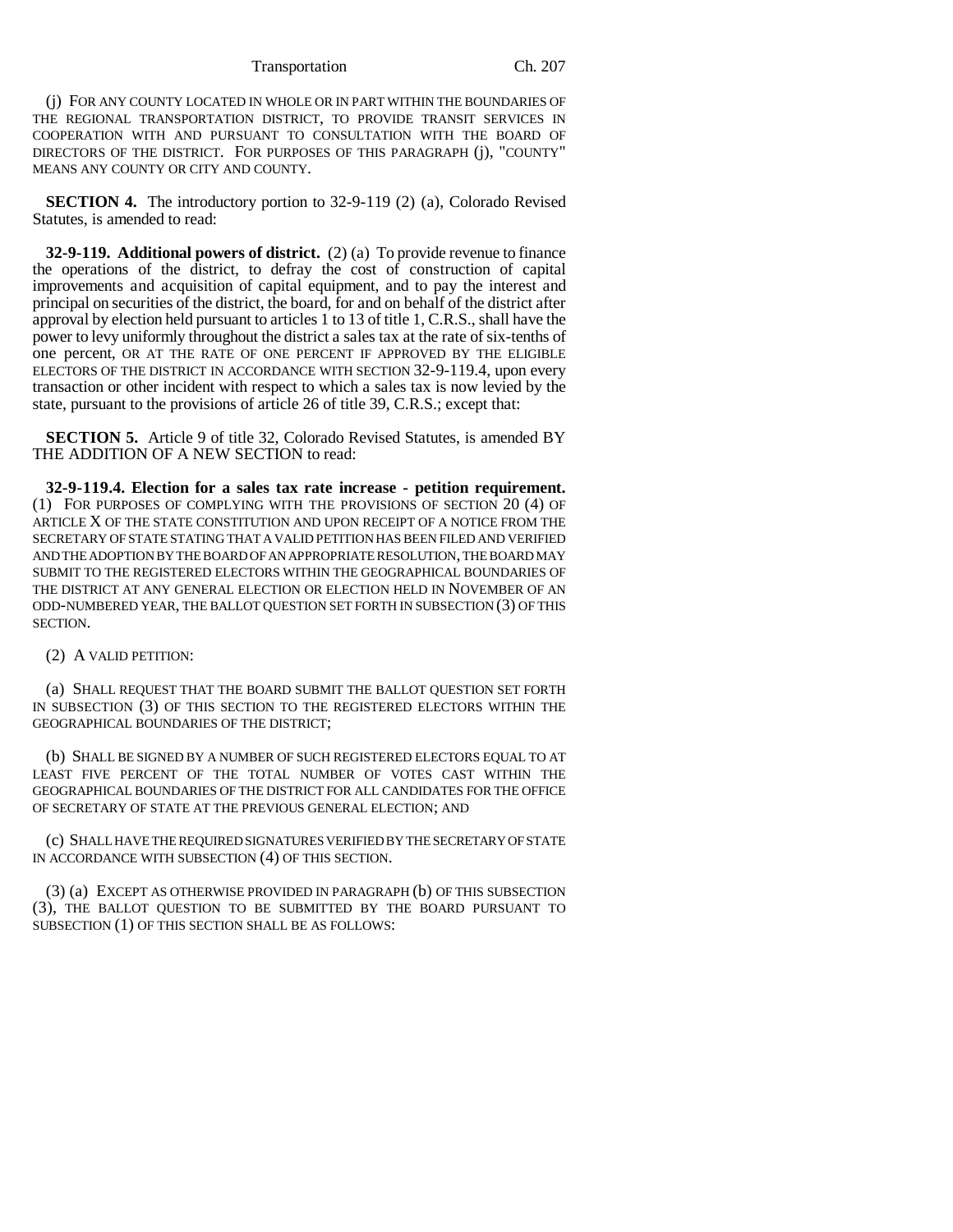### Transportation Ch. 207

(j) FOR ANY COUNTY LOCATED IN WHOLE OR IN PART WITHIN THE BOUNDARIES OF THE REGIONAL TRANSPORTATION DISTRICT, TO PROVIDE TRANSIT SERVICES IN COOPERATION WITH AND PURSUANT TO CONSULTATION WITH THE BOARD OF DIRECTORS OF THE DISTRICT. FOR PURPOSES OF THIS PARAGRAPH (j), "COUNTY" MEANS ANY COUNTY OR CITY AND COUNTY.

**SECTION 4.** The introductory portion to 32-9-119 (2) (a), Colorado Revised Statutes, is amended to read:

**32-9-119. Additional powers of district.** (2) (a) To provide revenue to finance the operations of the district, to defray the cost of construction of capital improvements and acquisition of capital equipment, and to pay the interest and principal on securities of the district, the board, for and on behalf of the district after approval by election held pursuant to articles 1 to 13 of title 1, C.R.S., shall have the power to levy uniformly throughout the district a sales tax at the rate of six-tenths of one percent, OR AT THE RATE OF ONE PERCENT IF APPROVED BY THE ELIGIBLE ELECTORS OF THE DISTRICT IN ACCORDANCE WITH SECTION 32-9-119.4, upon every transaction or other incident with respect to which a sales tax is now levied by the state, pursuant to the provisions of article 26 of title 39, C.R.S.; except that:

**SECTION 5.** Article 9 of title 32, Colorado Revised Statutes, is amended BY THE ADDITION OF A NEW SECTION to read:

**32-9-119.4. Election for a sales tax rate increase - petition requirement.** (1) FOR PURPOSES OF COMPLYING WITH THE PROVISIONS OF SECTION 20 (4) OF ARTICLE X OF THE STATE CONSTITUTION AND UPON RECEIPT OF A NOTICE FROM THE SECRETARY OF STATE STATING THAT A VALID PETITION HAS BEEN FILED AND VERIFIED AND THE ADOPTION BY THE BOARD OF AN APPROPRIATE RESOLUTION, THE BOARD MAY SUBMIT TO THE REGISTERED ELECTORS WITHIN THE GEOGRAPHICAL BOUNDARIES OF THE DISTRICT AT ANY GENERAL ELECTION OR ELECTION HELD IN NOVEMBER OF AN ODD-NUMBERED YEAR, THE BALLOT QUESTION SET FORTH IN SUBSECTION (3) OF THIS SECTION.

## (2) A VALID PETITION:

(a) SHALL REQUEST THAT THE BOARD SUBMIT THE BALLOT QUESTION SET FORTH IN SUBSECTION (3) OF THIS SECTION TO THE REGISTERED ELECTORS WITHIN THE GEOGRAPHICAL BOUNDARIES OF THE DISTRICT;

(b) SHALL BE SIGNED BY A NUMBER OF SUCH REGISTERED ELECTORS EQUAL TO AT LEAST FIVE PERCENT OF THE TOTAL NUMBER OF VOTES CAST WITHIN THE GEOGRAPHICAL BOUNDARIES OF THE DISTRICT FOR ALL CANDIDATES FOR THE OFFICE OF SECRETARY OF STATE AT THE PREVIOUS GENERAL ELECTION; AND

(c) SHALL HAVE THE REQUIRED SIGNATURES VERIFIED BY THE SECRETARY OF STATE IN ACCORDANCE WITH SUBSECTION (4) OF THIS SECTION.

(3) (a) EXCEPT AS OTHERWISE PROVIDED IN PARAGRAPH (b) OF THIS SUBSECTION (3), THE BALLOT QUESTION TO BE SUBMITTED BY THE BOARD PURSUANT TO SUBSECTION (1) OF THIS SECTION SHALL BE AS FOLLOWS: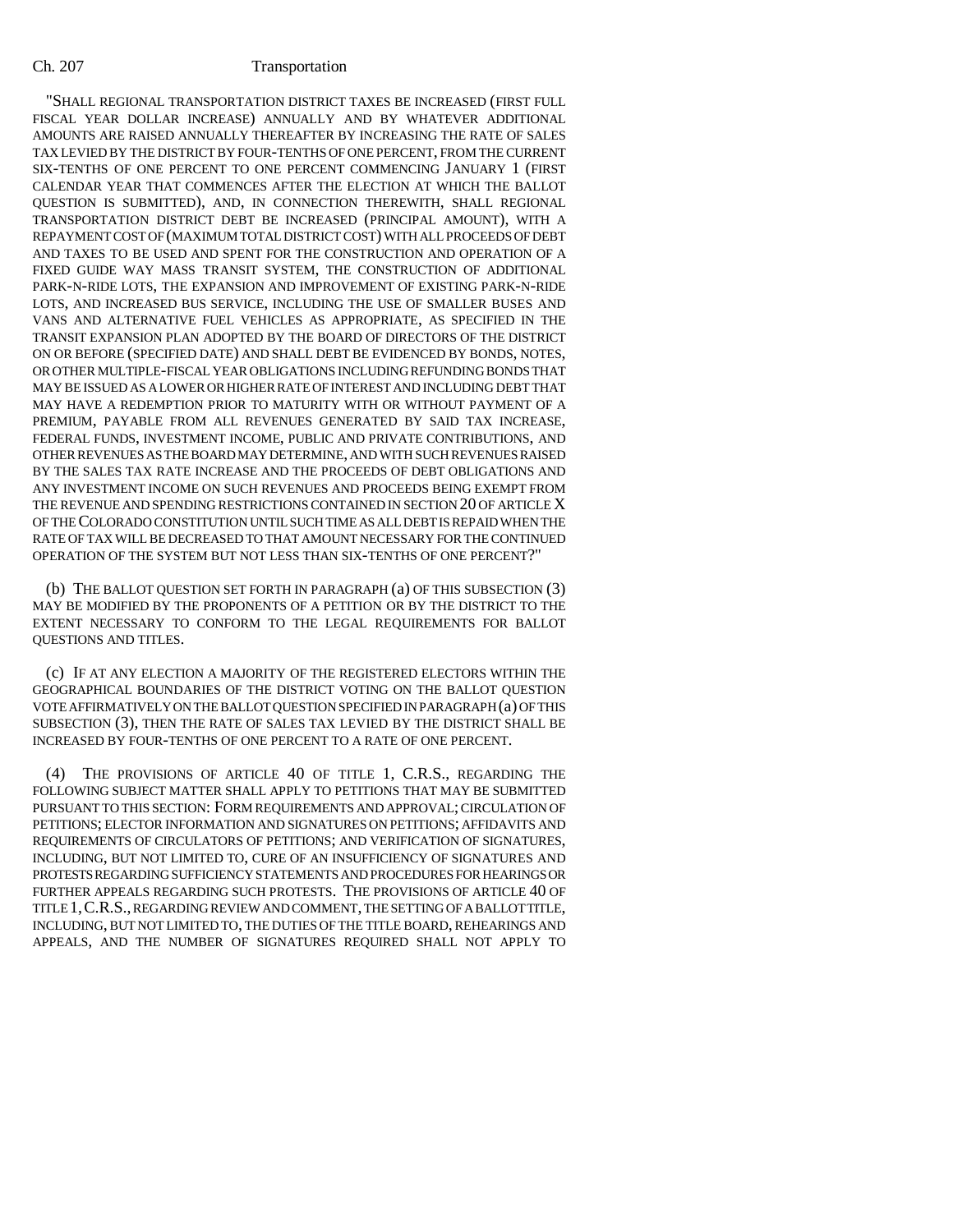"SHALL REGIONAL TRANSPORTATION DISTRICT TAXES BE INCREASED (FIRST FULL FISCAL YEAR DOLLAR INCREASE) ANNUALLY AND BY WHATEVER ADDITIONAL AMOUNTS ARE RAISED ANNUALLY THEREAFTER BY INCREASING THE RATE OF SALES TAX LEVIED BY THE DISTRICT BY FOUR-TENTHS OF ONE PERCENT, FROM THE CURRENT SIX-TENTHS OF ONE PERCENT TO ONE PERCENT COMMENCING JANUARY 1 (FIRST CALENDAR YEAR THAT COMMENCES AFTER THE ELECTION AT WHICH THE BALLOT QUESTION IS SUBMITTED), AND, IN CONNECTION THEREWITH, SHALL REGIONAL TRANSPORTATION DISTRICT DEBT BE INCREASED (PRINCIPAL AMOUNT), WITH A REPAYMENT COST OF (MAXIMUM TOTAL DISTRICT COST) WITH ALL PROCEEDS OF DEBT AND TAXES TO BE USED AND SPENT FOR THE CONSTRUCTION AND OPERATION OF A FIXED GUIDE WAY MASS TRANSIT SYSTEM, THE CONSTRUCTION OF ADDITIONAL PARK-N-RIDE LOTS, THE EXPANSION AND IMPROVEMENT OF EXISTING PARK-N-RIDE LOTS, AND INCREASED BUS SERVICE, INCLUDING THE USE OF SMALLER BUSES AND VANS AND ALTERNATIVE FUEL VEHICLES AS APPROPRIATE, AS SPECIFIED IN THE TRANSIT EXPANSION PLAN ADOPTED BY THE BOARD OF DIRECTORS OF THE DISTRICT ON OR BEFORE (SPECIFIED DATE) AND SHALL DEBT BE EVIDENCED BY BONDS, NOTES, OR OTHER MULTIPLE-FISCAL YEAR OBLIGATIONS INCLUDING REFUNDING BONDS THAT MAY BE ISSUED AS A LOWER OR HIGHER RATE OF INTEREST AND INCLUDING DEBT THAT MAY HAVE A REDEMPTION PRIOR TO MATURITY WITH OR WITHOUT PAYMENT OF A PREMIUM, PAYABLE FROM ALL REVENUES GENERATED BY SAID TAX INCREASE, FEDERAL FUNDS, INVESTMENT INCOME, PUBLIC AND PRIVATE CONTRIBUTIONS, AND OTHER REVENUES AS THE BOARD MAY DETERMINE, AND WITH SUCH REVENUES RAISED BY THE SALES TAX RATE INCREASE AND THE PROCEEDS OF DEBT OBLIGATIONS AND ANY INVESTMENT INCOME ON SUCH REVENUES AND PROCEEDS BEING EXEMPT FROM THE REVENUE AND SPENDING RESTRICTIONS CONTAINED IN SECTION 20 OF ARTICLE X OF THE COLORADO CONSTITUTION UNTIL SUCH TIME AS ALL DEBT IS REPAID WHEN THE RATE OF TAX WILL BE DECREASED TO THAT AMOUNT NECESSARY FOR THE CONTINUED OPERATION OF THE SYSTEM BUT NOT LESS THAN SIX-TENTHS OF ONE PERCENT?"

(b) THE BALLOT QUESTION SET FORTH IN PARAGRAPH (a) OF THIS SUBSECTION (3) MAY BE MODIFIED BY THE PROPONENTS OF A PETITION OR BY THE DISTRICT TO THE EXTENT NECESSARY TO CONFORM TO THE LEGAL REQUIREMENTS FOR BALLOT QUESTIONS AND TITLES.

(c) IF AT ANY ELECTION A MAJORITY OF THE REGISTERED ELECTORS WITHIN THE GEOGRAPHICAL BOUNDARIES OF THE DISTRICT VOTING ON THE BALLOT QUESTION VOTE AFFIRMATIVELY ON THE BALLOT QUESTION SPECIFIED IN PARAGRAPH (a) OF THIS SUBSECTION (3), THEN THE RATE OF SALES TAX LEVIED BY THE DISTRICT SHALL BE INCREASED BY FOUR-TENTHS OF ONE PERCENT TO A RATE OF ONE PERCENT.

(4) THE PROVISIONS OF ARTICLE 40 OF TITLE 1, C.R.S., REGARDING THE FOLLOWING SUBJECT MATTER SHALL APPLY TO PETITIONS THAT MAY BE SUBMITTED PURSUANT TO THIS SECTION: FORM REQUIREMENTS AND APPROVAL; CIRCULATION OF PETITIONS; ELECTOR INFORMATION AND SIGNATURES ON PETITIONS; AFFIDAVITS AND REQUIREMENTS OF CIRCULATORS OF PETITIONS; AND VERIFICATION OF SIGNATURES, INCLUDING, BUT NOT LIMITED TO, CURE OF AN INSUFFICIENCY OF SIGNATURES AND PROTESTS REGARDING SUFFICIENCY STATEMENTS AND PROCEDURES FOR HEARINGS OR FURTHER APPEALS REGARDING SUCH PROTESTS. THE PROVISIONS OF ARTICLE 40 OF TITLE 1,C.R.S., REGARDING REVIEW AND COMMENT, THE SETTING OF A BALLOT TITLE, INCLUDING, BUT NOT LIMITED TO, THE DUTIES OF THE TITLE BOARD, REHEARINGS AND APPEALS, AND THE NUMBER OF SIGNATURES REQUIRED SHALL NOT APPLY TO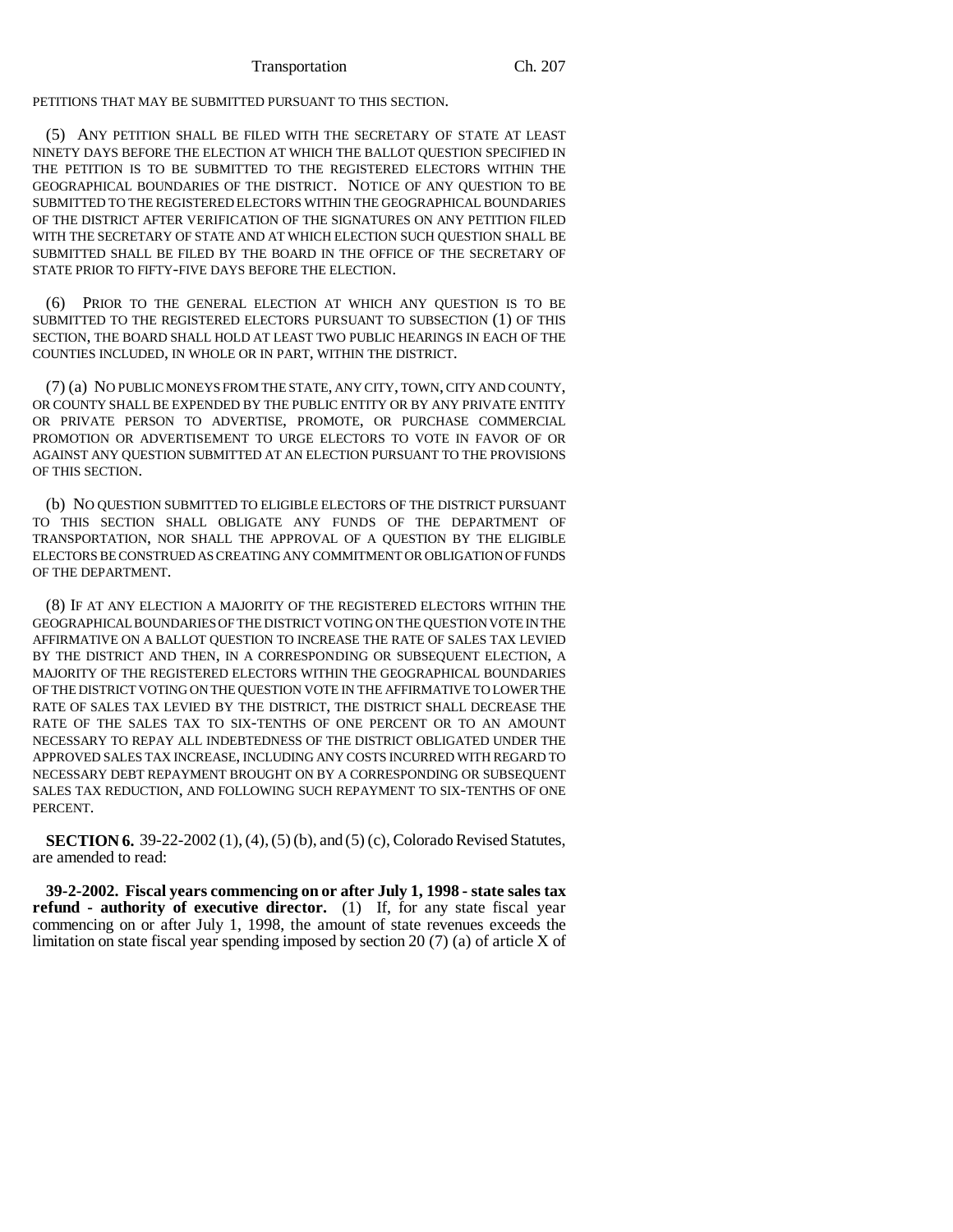PETITIONS THAT MAY BE SUBMITTED PURSUANT TO THIS SECTION.

(5) ANY PETITION SHALL BE FILED WITH THE SECRETARY OF STATE AT LEAST NINETY DAYS BEFORE THE ELECTION AT WHICH THE BALLOT QUESTION SPECIFIED IN THE PETITION IS TO BE SUBMITTED TO THE REGISTERED ELECTORS WITHIN THE GEOGRAPHICAL BOUNDARIES OF THE DISTRICT. NOTICE OF ANY QUESTION TO BE SUBMITTED TO THE REGISTERED ELECTORS WITHIN THE GEOGRAPHICAL BOUNDARIES OF THE DISTRICT AFTER VERIFICATION OF THE SIGNATURES ON ANY PETITION FILED WITH THE SECRETARY OF STATE AND AT WHICH ELECTION SUCH QUESTION SHALL BE SUBMITTED SHALL BE FILED BY THE BOARD IN THE OFFICE OF THE SECRETARY OF STATE PRIOR TO FIFTY-FIVE DAYS BEFORE THE ELECTION.

(6) PRIOR TO THE GENERAL ELECTION AT WHICH ANY QUESTION IS TO BE SUBMITTED TO THE REGISTERED ELECTORS PURSUANT TO SUBSECTION (1) OF THIS SECTION, THE BOARD SHALL HOLD AT LEAST TWO PUBLIC HEARINGS IN EACH OF THE COUNTIES INCLUDED, IN WHOLE OR IN PART, WITHIN THE DISTRICT.

(7) (a) NO PUBLIC MONEYS FROM THE STATE, ANY CITY, TOWN, CITY AND COUNTY, OR COUNTY SHALL BE EXPENDED BY THE PUBLIC ENTITY OR BY ANY PRIVATE ENTITY OR PRIVATE PERSON TO ADVERTISE, PROMOTE, OR PURCHASE COMMERCIAL PROMOTION OR ADVERTISEMENT TO URGE ELECTORS TO VOTE IN FAVOR OF OR AGAINST ANY QUESTION SUBMITTED AT AN ELECTION PURSUANT TO THE PROVISIONS OF THIS SECTION.

(b) NO QUESTION SUBMITTED TO ELIGIBLE ELECTORS OF THE DISTRICT PURSUANT TO THIS SECTION SHALL OBLIGATE ANY FUNDS OF THE DEPARTMENT OF TRANSPORTATION, NOR SHALL THE APPROVAL OF A QUESTION BY THE ELIGIBLE ELECTORS BE CONSTRUED AS CREATING ANY COMMITMENT OR OBLIGATION OF FUNDS OF THE DEPARTMENT.

(8) IF AT ANY ELECTION A MAJORITY OF THE REGISTERED ELECTORS WITHIN THE GEOGRAPHICAL BOUNDARIES OF THE DISTRICT VOTING ON THE QUESTION VOTE IN THE AFFIRMATIVE ON A BALLOT QUESTION TO INCREASE THE RATE OF SALES TAX LEVIED BY THE DISTRICT AND THEN, IN A CORRESPONDING OR SUBSEQUENT ELECTION, A MAJORITY OF THE REGISTERED ELECTORS WITHIN THE GEOGRAPHICAL BOUNDARIES OF THE DISTRICT VOTING ON THE QUESTION VOTE IN THE AFFIRMATIVE TO LOWER THE RATE OF SALES TAX LEVIED BY THE DISTRICT, THE DISTRICT SHALL DECREASE THE RATE OF THE SALES TAX TO SIX-TENTHS OF ONE PERCENT OR TO AN AMOUNT NECESSARY TO REPAY ALL INDEBTEDNESS OF THE DISTRICT OBLIGATED UNDER THE APPROVED SALES TAX INCREASE, INCLUDING ANY COSTS INCURRED WITH REGARD TO NECESSARY DEBT REPAYMENT BROUGHT ON BY A CORRESPONDING OR SUBSEQUENT SALES TAX REDUCTION, AND FOLLOWING SUCH REPAYMENT TO SIX-TENTHS OF ONE PERCENT.

**SECTION 6.** 39-22-2002 (1), (4), (5) (b), and (5) (c), Colorado Revised Statutes, are amended to read:

**39-2-2002. Fiscal years commencing on or after July 1, 1998 - state sales tax refund - authority of executive director.** (1) If, for any state fiscal year commencing on or after July 1, 1998, the amount of state revenues exceeds the limitation on state fiscal year spending imposed by section 20 (7) (a) of article X of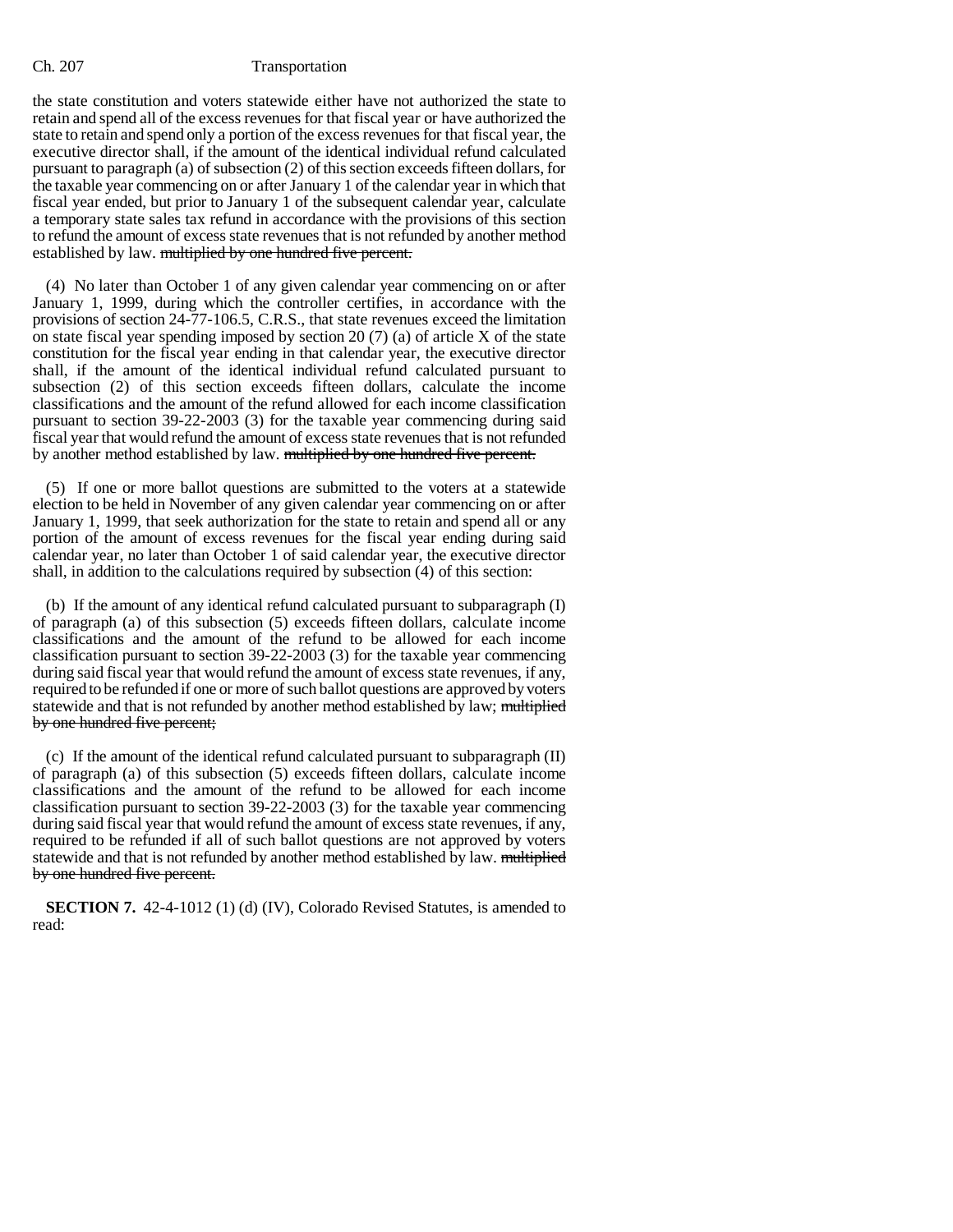the state constitution and voters statewide either have not authorized the state to retain and spend all of the excess revenues for that fiscal year or have authorized the state to retain and spend only a portion of the excess revenues for that fiscal year, the executive director shall, if the amount of the identical individual refund calculated pursuant to paragraph (a) of subsection (2) of this section exceeds fifteen dollars, for the taxable year commencing on or after January 1 of the calendar year in which that fiscal year ended, but prior to January 1 of the subsequent calendar year, calculate a temporary state sales tax refund in accordance with the provisions of this section to refund the amount of excess state revenues that is not refunded by another method established by law. multiplied by one hundred five percent.

(4) No later than October 1 of any given calendar year commencing on or after January 1, 1999, during which the controller certifies, in accordance with the provisions of section 24-77-106.5, C.R.S., that state revenues exceed the limitation on state fiscal year spending imposed by section 20 (7) (a) of article X of the state constitution for the fiscal year ending in that calendar year, the executive director shall, if the amount of the identical individual refund calculated pursuant to subsection (2) of this section exceeds fifteen dollars, calculate the income classifications and the amount of the refund allowed for each income classification pursuant to section 39-22-2003 (3) for the taxable year commencing during said fiscal year that would refund the amount of excess state revenues that is not refunded by another method established by law. multiplied by one hundred five percent.

(5) If one or more ballot questions are submitted to the voters at a statewide election to be held in November of any given calendar year commencing on or after January 1, 1999, that seek authorization for the state to retain and spend all or any portion of the amount of excess revenues for the fiscal year ending during said calendar year, no later than October 1 of said calendar year, the executive director shall, in addition to the calculations required by subsection (4) of this section:

(b) If the amount of any identical refund calculated pursuant to subparagraph (I) of paragraph (a) of this subsection (5) exceeds fifteen dollars, calculate income classifications and the amount of the refund to be allowed for each income classification pursuant to section 39-22-2003 (3) for the taxable year commencing during said fiscal year that would refund the amount of excess state revenues, if any, required to be refunded if one or more of such ballot questions are approved by voters statewide and that is not refunded by another method established by law; multiplied by one hundred five percent;

(c) If the amount of the identical refund calculated pursuant to subparagraph (II) of paragraph (a) of this subsection (5) exceeds fifteen dollars, calculate income classifications and the amount of the refund to be allowed for each income classification pursuant to section 39-22-2003 (3) for the taxable year commencing during said fiscal year that would refund the amount of excess state revenues, if any, required to be refunded if all of such ballot questions are not approved by voters statewide and that is not refunded by another method established by law. multiplied by one hundred five percent.

**SECTION 7.** 42-4-1012 (1) (d) (IV), Colorado Revised Statutes, is amended to read: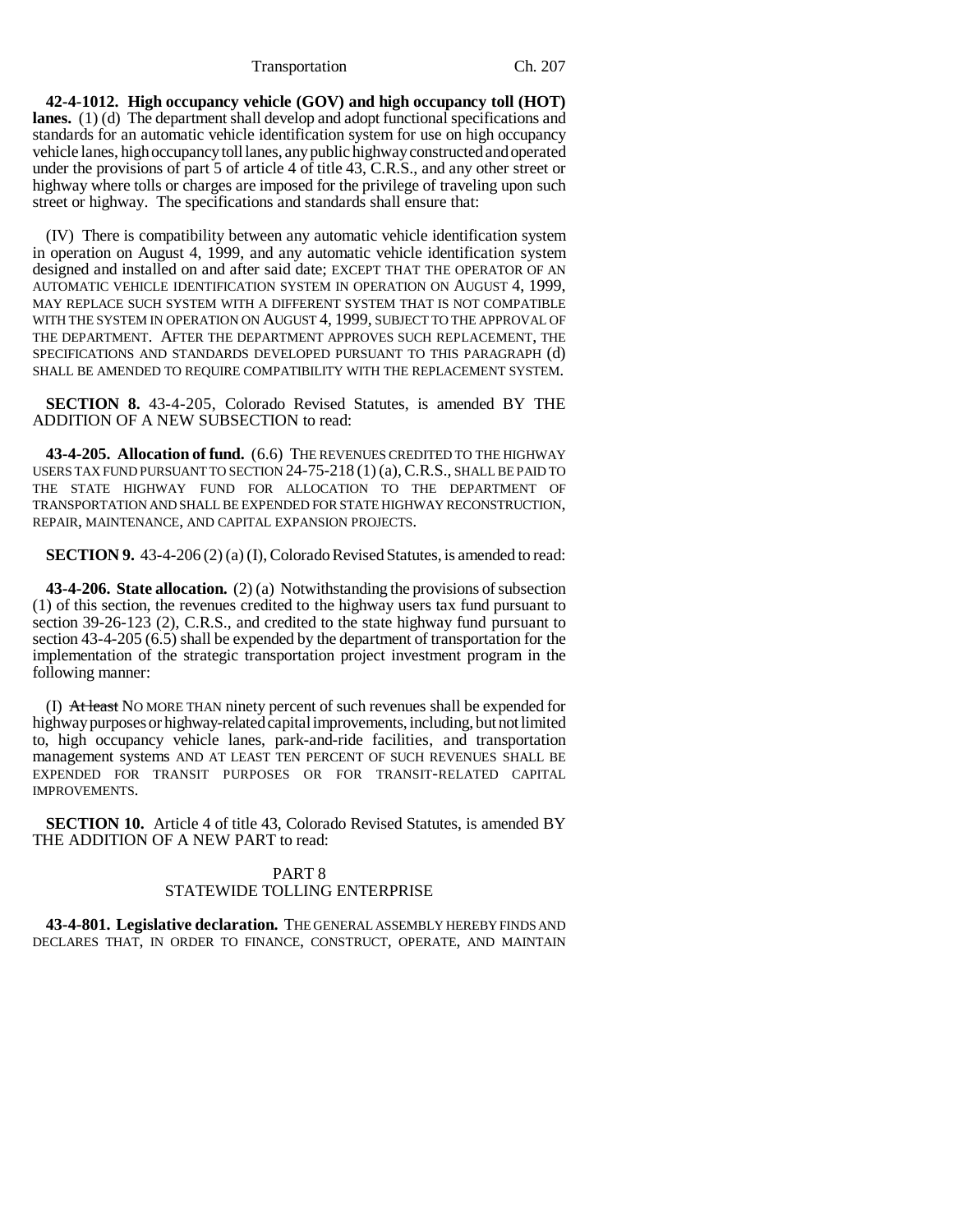Transportation Ch. 207

**42-4-1012. High occupancy vehicle (GOV) and high occupancy toll (HOT) lanes.** (1) (d) The department shall develop and adopt functional specifications and standards for an automatic vehicle identification system for use on high occupancy vehicle lanes, high occupancy toll lanes, any public highway constructed and operated under the provisions of part 5 of article 4 of title 43, C.R.S., and any other street or highway where tolls or charges are imposed for the privilege of traveling upon such street or highway. The specifications and standards shall ensure that:

(IV) There is compatibility between any automatic vehicle identification system in operation on August 4, 1999, and any automatic vehicle identification system designed and installed on and after said date; EXCEPT THAT THE OPERATOR OF AN AUTOMATIC VEHICLE IDENTIFICATION SYSTEM IN OPERATION ON AUGUST 4, 1999, MAY REPLACE SUCH SYSTEM WITH A DIFFERENT SYSTEM THAT IS NOT COMPATIBLE WITH THE SYSTEM IN OPERATION ON AUGUST 4, 1999, SUBJECT TO THE APPROVAL OF THE DEPARTMENT. AFTER THE DEPARTMENT APPROVES SUCH REPLACEMENT, THE SPECIFICATIONS AND STANDARDS DEVELOPED PURSUANT TO THIS PARAGRAPH (d) SHALL BE AMENDED TO REQUIRE COMPATIBILITY WITH THE REPLACEMENT SYSTEM.

**SECTION 8.** 43-4-205, Colorado Revised Statutes, is amended BY THE ADDITION OF A NEW SUBSECTION to read:

**43-4-205. Allocation of fund.** (6.6) THE REVENUES CREDITED TO THE HIGHWAY USERS TAX FUND PURSUANT TO SECTION 24-75-218 (1) (a),C.R.S., SHALL BE PAID TO THE STATE HIGHWAY FUND FOR ALLOCATION TO THE DEPARTMENT OF TRANSPORTATION AND SHALL BE EXPENDED FOR STATE HIGHWAY RECONSTRUCTION, REPAIR, MAINTENANCE, AND CAPITAL EXPANSION PROJECTS.

**SECTION 9.** 43-4-206 (2) (a) (I), Colorado Revised Statutes, is amended to read:

**43-4-206. State allocation.** (2) (a) Notwithstanding the provisions of subsection (1) of this section, the revenues credited to the highway users tax fund pursuant to section 39-26-123 (2), C.R.S., and credited to the state highway fund pursuant to section 43-4-205 (6.5) shall be expended by the department of transportation for the implementation of the strategic transportation project investment program in the following manner:

(I) At least NO MORE THAN ninety percent of such revenues shall be expended for highway purposes or highway-related capital improvements, including, but not limited to, high occupancy vehicle lanes, park-and-ride facilities, and transportation management systems AND AT LEAST TEN PERCENT OF SUCH REVENUES SHALL BE EXPENDED FOR TRANSIT PURPOSES OR FOR TRANSIT-RELATED CAPITAL IMPROVEMENTS.

**SECTION 10.** Article 4 of title 43, Colorado Revised Statutes, is amended BY THE ADDITION OF A NEW PART to read:

## PART 8 STATEWIDE TOLLING ENTERPRISE

**43-4-801. Legislative declaration.** THE GENERAL ASSEMBLY HEREBY FINDS AND DECLARES THAT, IN ORDER TO FINANCE, CONSTRUCT, OPERATE, AND MAINTAIN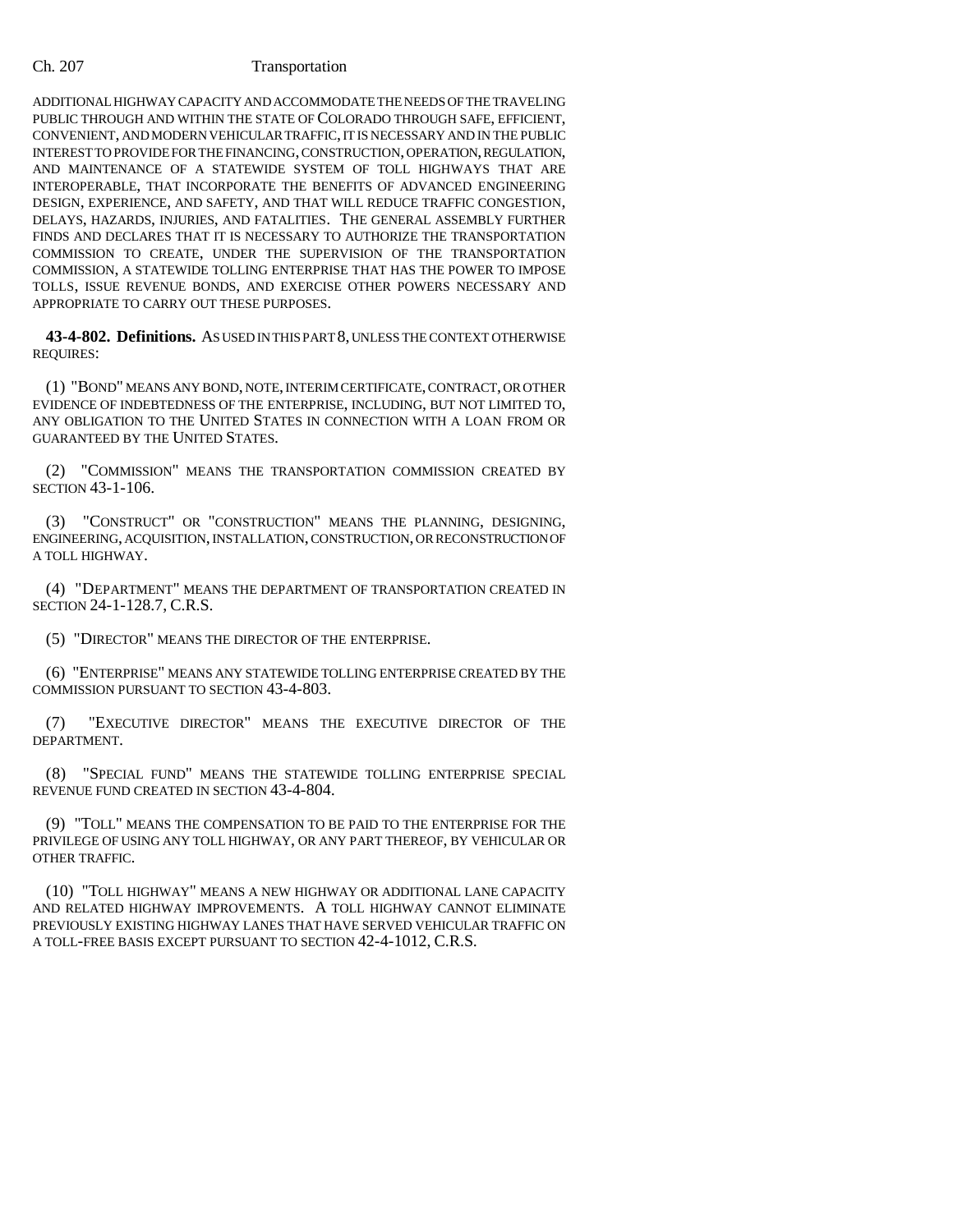ADDITIONAL HIGHWAY CAPACITY AND ACCOMMODATE THE NEEDS OF THE TRAVELING PUBLIC THROUGH AND WITHIN THE STATE OF COLORADO THROUGH SAFE, EFFICIENT, CONVENIENT, AND MODERN VEHICULAR TRAFFIC, IT IS NECESSARY AND IN THE PUBLIC INTEREST TO PROVIDE FOR THE FINANCING, CONSTRUCTION, OPERATION, REGULATION, AND MAINTENANCE OF A STATEWIDE SYSTEM OF TOLL HIGHWAYS THAT ARE INTEROPERABLE, THAT INCORPORATE THE BENEFITS OF ADVANCED ENGINEERING DESIGN, EXPERIENCE, AND SAFETY, AND THAT WILL REDUCE TRAFFIC CONGESTION, DELAYS, HAZARDS, INJURIES, AND FATALITIES. THE GENERAL ASSEMBLY FURTHER FINDS AND DECLARES THAT IT IS NECESSARY TO AUTHORIZE THE TRANSPORTATION COMMISSION TO CREATE, UNDER THE SUPERVISION OF THE TRANSPORTATION COMMISSION, A STATEWIDE TOLLING ENTERPRISE THAT HAS THE POWER TO IMPOSE TOLLS, ISSUE REVENUE BONDS, AND EXERCISE OTHER POWERS NECESSARY AND APPROPRIATE TO CARRY OUT THESE PURPOSES.

**43-4-802. Definitions.** AS USED IN THIS PART 8, UNLESS THE CONTEXT OTHERWISE REQUIRES:

(1) "BOND" MEANS ANY BOND, NOTE, INTERIM CERTIFICATE, CONTRACT, OR OTHER EVIDENCE OF INDEBTEDNESS OF THE ENTERPRISE, INCLUDING, BUT NOT LIMITED TO, ANY OBLIGATION TO THE UNITED STATES IN CONNECTION WITH A LOAN FROM OR GUARANTEED BY THE UNITED STATES.

(2) "COMMISSION" MEANS THE TRANSPORTATION COMMISSION CREATED BY SECTION 43-1-106.

(3) "CONSTRUCT" OR "CONSTRUCTION" MEANS THE PLANNING, DESIGNING, ENGINEERING, ACQUISITION, INSTALLATION, CONSTRUCTION, OR RECONSTRUCTION OF A TOLL HIGHWAY.

(4) "DEPARTMENT" MEANS THE DEPARTMENT OF TRANSPORTATION CREATED IN SECTION 24-1-128.7, C.R.S.

(5) "DIRECTOR" MEANS THE DIRECTOR OF THE ENTERPRISE.

(6) "ENTERPRISE" MEANS ANY STATEWIDE TOLLING ENTERPRISE CREATED BY THE COMMISSION PURSUANT TO SECTION 43-4-803.

(7) "EXECUTIVE DIRECTOR" MEANS THE EXECUTIVE DIRECTOR OF THE DEPARTMENT.

(8) "SPECIAL FUND" MEANS THE STATEWIDE TOLLING ENTERPRISE SPECIAL REVENUE FUND CREATED IN SECTION 43-4-804.

(9) "TOLL" MEANS THE COMPENSATION TO BE PAID TO THE ENTERPRISE FOR THE PRIVILEGE OF USING ANY TOLL HIGHWAY, OR ANY PART THEREOF, BY VEHICULAR OR OTHER TRAFFIC.

(10) "TOLL HIGHWAY" MEANS A NEW HIGHWAY OR ADDITIONAL LANE CAPACITY AND RELATED HIGHWAY IMPROVEMENTS. A TOLL HIGHWAY CANNOT ELIMINATE PREVIOUSLY EXISTING HIGHWAY LANES THAT HAVE SERVED VEHICULAR TRAFFIC ON A TOLL-FREE BASIS EXCEPT PURSUANT TO SECTION 42-4-1012, C.R.S.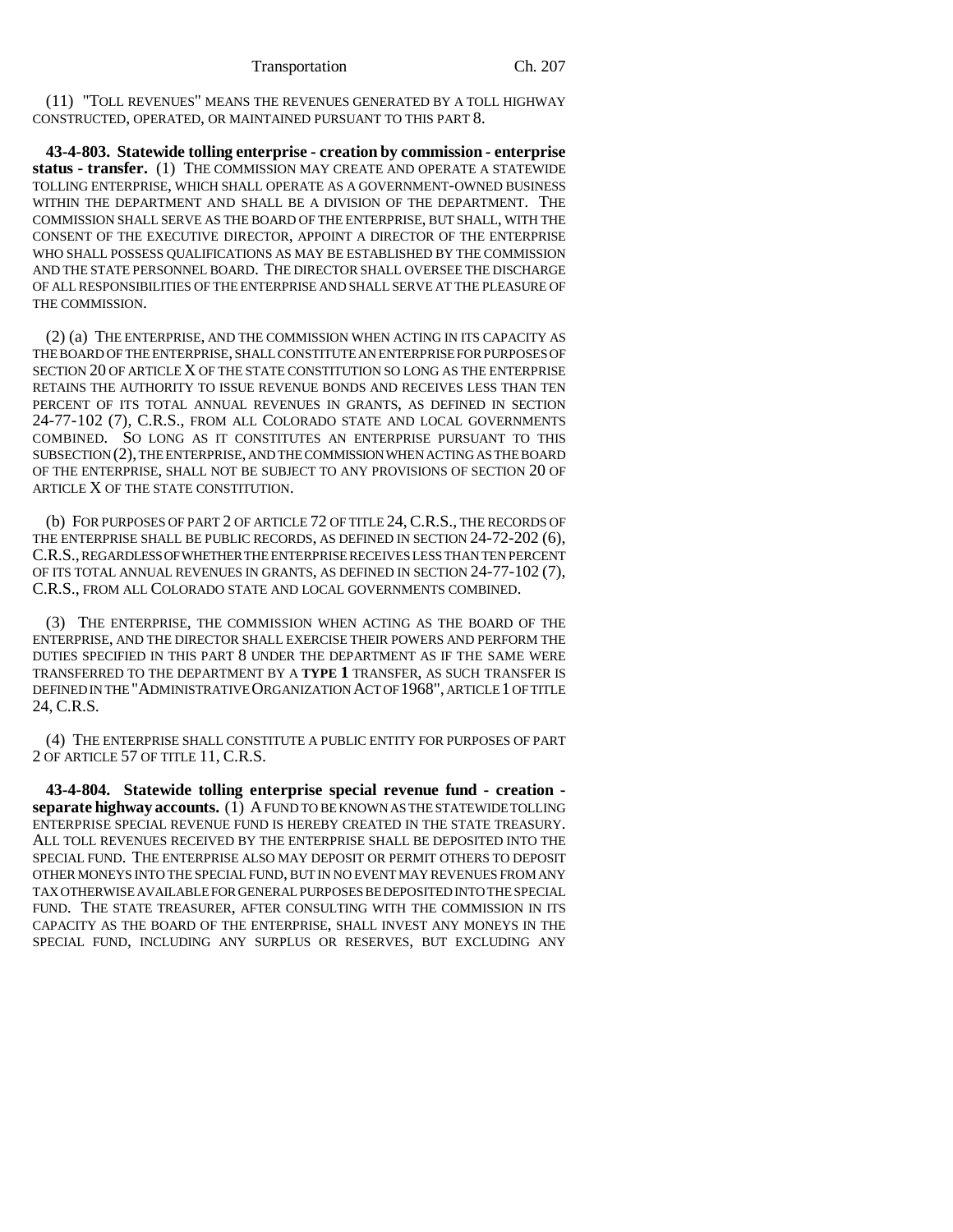(11) "TOLL REVENUES" MEANS THE REVENUES GENERATED BY A TOLL HIGHWAY CONSTRUCTED, OPERATED, OR MAINTAINED PURSUANT TO THIS PART 8.

**43-4-803. Statewide tolling enterprise - creation by commission - enterprise status - transfer.** (1) THE COMMISSION MAY CREATE AND OPERATE A STATEWIDE TOLLING ENTERPRISE, WHICH SHALL OPERATE AS A GOVERNMENT-OWNED BUSINESS WITHIN THE DEPARTMENT AND SHALL BE A DIVISION OF THE DEPARTMENT. THE COMMISSION SHALL SERVE AS THE BOARD OF THE ENTERPRISE, BUT SHALL, WITH THE CONSENT OF THE EXECUTIVE DIRECTOR, APPOINT A DIRECTOR OF THE ENTERPRISE WHO SHALL POSSESS QUALIFICATIONS AS MAY BE ESTABLISHED BY THE COMMISSION AND THE STATE PERSONNEL BOARD. THE DIRECTOR SHALL OVERSEE THE DISCHARGE OF ALL RESPONSIBILITIES OF THE ENTERPRISE AND SHALL SERVE AT THE PLEASURE OF THE COMMISSION.

(2) (a) THE ENTERPRISE, AND THE COMMISSION WHEN ACTING IN ITS CAPACITY AS THE BOARD OF THE ENTERPRISE, SHALL CONSTITUTE AN ENTERPRISE FOR PURPOSES OF SECTION 20 OF ARTICLE X OF THE STATE CONSTITUTION SO LONG AS THE ENTERPRISE RETAINS THE AUTHORITY TO ISSUE REVENUE BONDS AND RECEIVES LESS THAN TEN PERCENT OF ITS TOTAL ANNUAL REVENUES IN GRANTS, AS DEFINED IN SECTION 24-77-102 (7), C.R.S., FROM ALL COLORADO STATE AND LOCAL GOVERNMENTS COMBINED. SO LONG AS IT CONSTITUTES AN ENTERPRISE PURSUANT TO THIS SUBSECTION (2), THE ENTERPRISE, AND THE COMMISSION WHEN ACTING AS THE BOARD OF THE ENTERPRISE, SHALL NOT BE SUBJECT TO ANY PROVISIONS OF SECTION 20 OF ARTICLE X OF THE STATE CONSTITUTION.

(b) FOR PURPOSES OF PART 2 OF ARTICLE 72 OF TITLE 24,C.R.S., THE RECORDS OF THE ENTERPRISE SHALL BE PUBLIC RECORDS, AS DEFINED IN SECTION 24-72-202 (6), C.R.S., REGARDLESS OF WHETHER THE ENTERPRISE RECEIVES LESS THAN TEN PERCENT OF ITS TOTAL ANNUAL REVENUES IN GRANTS, AS DEFINED IN SECTION 24-77-102 (7), C.R.S., FROM ALL COLORADO STATE AND LOCAL GOVERNMENTS COMBINED.

(3) THE ENTERPRISE, THE COMMISSION WHEN ACTING AS THE BOARD OF THE ENTERPRISE, AND THE DIRECTOR SHALL EXERCISE THEIR POWERS AND PERFORM THE DUTIES SPECIFIED IN THIS PART 8 UNDER THE DEPARTMENT AS IF THE SAME WERE TRANSFERRED TO THE DEPARTMENT BY A **TYPE 1** TRANSFER, AS SUCH TRANSFER IS DEFINED IN THE "ADMINISTRATIVE ORGANIZATION ACT OF 1968", ARTICLE 1 OF TITLE 24, C.R.S.

(4) THE ENTERPRISE SHALL CONSTITUTE A PUBLIC ENTITY FOR PURPOSES OF PART 2 OF ARTICLE 57 OF TITLE 11, C.R.S.

**43-4-804. Statewide tolling enterprise special revenue fund - creation separate highway accounts.** (1) A FUND TO BE KNOWN AS THE STATEWIDE TOLLING ENTERPRISE SPECIAL REVENUE FUND IS HEREBY CREATED IN THE STATE TREASURY. ALL TOLL REVENUES RECEIVED BY THE ENTERPRISE SHALL BE DEPOSITED INTO THE SPECIAL FUND. THE ENTERPRISE ALSO MAY DEPOSIT OR PERMIT OTHERS TO DEPOSIT OTHER MONEYS INTO THE SPECIAL FUND, BUT IN NO EVENT MAY REVENUES FROM ANY TAX OTHERWISE AVAILABLE FOR GENERAL PURPOSES BE DEPOSITED INTO THE SPECIAL FUND. THE STATE TREASURER, AFTER CONSULTING WITH THE COMMISSION IN ITS CAPACITY AS THE BOARD OF THE ENTERPRISE, SHALL INVEST ANY MONEYS IN THE SPECIAL FUND, INCLUDING ANY SURPLUS OR RESERVES, BUT EXCLUDING ANY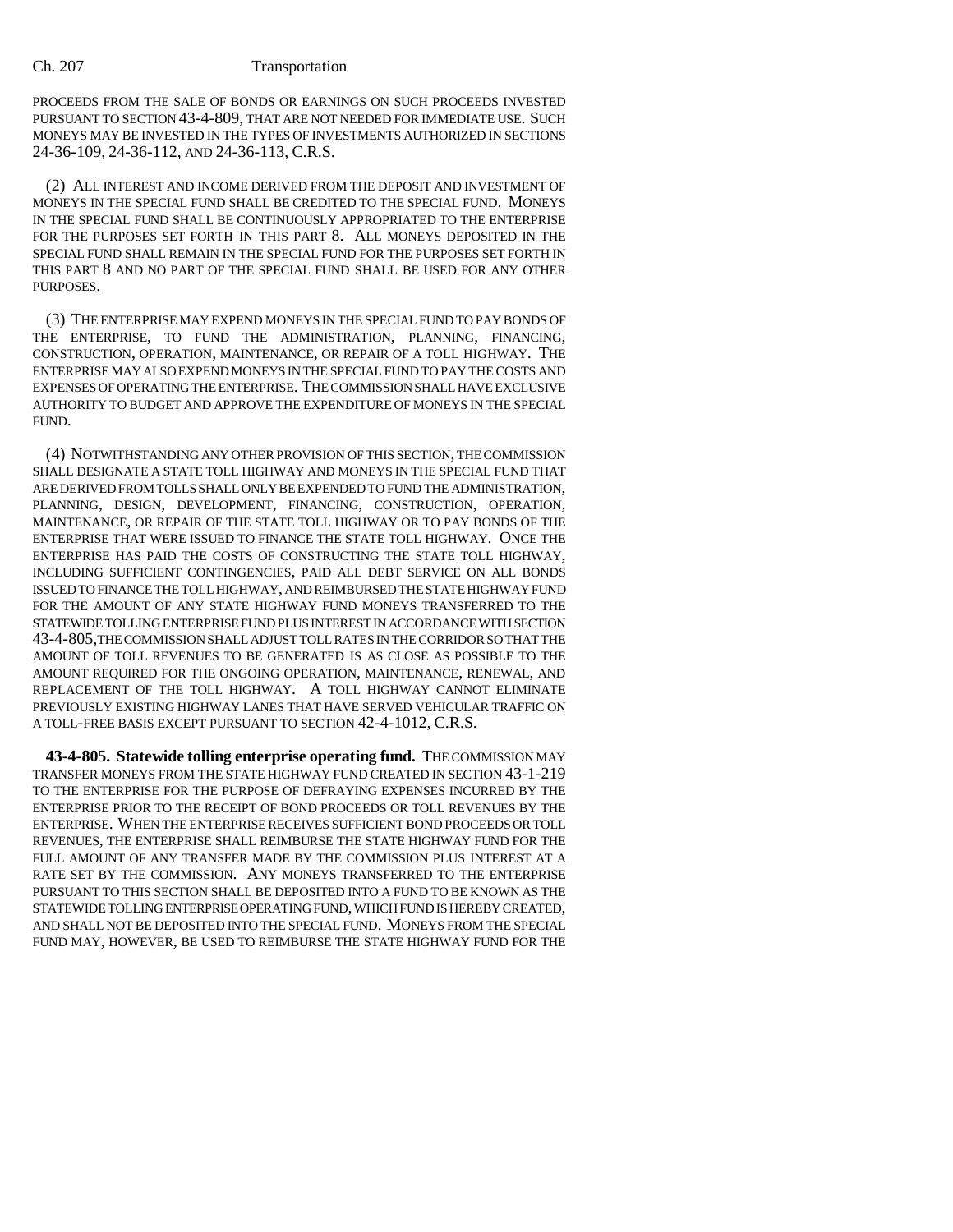PROCEEDS FROM THE SALE OF BONDS OR EARNINGS ON SUCH PROCEEDS INVESTED PURSUANT TO SECTION 43-4-809, THAT ARE NOT NEEDED FOR IMMEDIATE USE. SUCH MONEYS MAY BE INVESTED IN THE TYPES OF INVESTMENTS AUTHORIZED IN SECTIONS 24-36-109, 24-36-112, AND 24-36-113, C.R.S.

(2) ALL INTEREST AND INCOME DERIVED FROM THE DEPOSIT AND INVESTMENT OF MONEYS IN THE SPECIAL FUND SHALL BE CREDITED TO THE SPECIAL FUND. MONEYS IN THE SPECIAL FUND SHALL BE CONTINUOUSLY APPROPRIATED TO THE ENTERPRISE FOR THE PURPOSES SET FORTH IN THIS PART 8. ALL MONEYS DEPOSITED IN THE SPECIAL FUND SHALL REMAIN IN THE SPECIAL FUND FOR THE PURPOSES SET FORTH IN THIS PART 8 AND NO PART OF THE SPECIAL FUND SHALL BE USED FOR ANY OTHER PURPOSES.

(3) THE ENTERPRISE MAY EXPEND MONEYS IN THE SPECIAL FUND TO PAY BONDS OF THE ENTERPRISE, TO FUND THE ADMINISTRATION, PLANNING, FINANCING, CONSTRUCTION, OPERATION, MAINTENANCE, OR REPAIR OF A TOLL HIGHWAY. THE ENTERPRISE MAY ALSO EXPEND MONEYS IN THE SPECIAL FUND TO PAY THE COSTS AND EXPENSES OF OPERATING THE ENTERPRISE. THE COMMISSION SHALL HAVE EXCLUSIVE AUTHORITY TO BUDGET AND APPROVE THE EXPENDITURE OF MONEYS IN THE SPECIAL FUND.

(4) NOTWITHSTANDING ANY OTHER PROVISION OF THIS SECTION, THE COMMISSION SHALL DESIGNATE A STATE TOLL HIGHWAY AND MONEYS IN THE SPECIAL FUND THAT ARE DERIVED FROM TOLLS SHALL ONLY BE EXPENDED TO FUND THE ADMINISTRATION, PLANNING, DESIGN, DEVELOPMENT, FINANCING, CONSTRUCTION, OPERATION, MAINTENANCE, OR REPAIR OF THE STATE TOLL HIGHWAY OR TO PAY BONDS OF THE ENTERPRISE THAT WERE ISSUED TO FINANCE THE STATE TOLL HIGHWAY. ONCE THE ENTERPRISE HAS PAID THE COSTS OF CONSTRUCTING THE STATE TOLL HIGHWAY, INCLUDING SUFFICIENT CONTINGENCIES, PAID ALL DEBT SERVICE ON ALL BONDS ISSUED TO FINANCE THE TOLL HIGHWAY, AND REIMBURSED THE STATE HIGHWAY FUND FOR THE AMOUNT OF ANY STATE HIGHWAY FUND MONEYS TRANSFERRED TO THE STATEWIDE TOLLING ENTERPRISE FUND PLUS INTEREST IN ACCORDANCE WITH SECTION 43-4-805,THE COMMISSION SHALL ADJUST TOLL RATES IN THE CORRIDOR SO THAT THE AMOUNT OF TOLL REVENUES TO BE GENERATED IS AS CLOSE AS POSSIBLE TO THE AMOUNT REQUIRED FOR THE ONGOING OPERATION, MAINTENANCE, RENEWAL, AND REPLACEMENT OF THE TOLL HIGHWAY. A TOLL HIGHWAY CANNOT ELIMINATE PREVIOUSLY EXISTING HIGHWAY LANES THAT HAVE SERVED VEHICULAR TRAFFIC ON A TOLL-FREE BASIS EXCEPT PURSUANT TO SECTION 42-4-1012, C.R.S.

**43-4-805. Statewide tolling enterprise operating fund.** THE COMMISSION MAY TRANSFER MONEYS FROM THE STATE HIGHWAY FUND CREATED IN SECTION 43-1-219 TO THE ENTERPRISE FOR THE PURPOSE OF DEFRAYING EXPENSES INCURRED BY THE ENTERPRISE PRIOR TO THE RECEIPT OF BOND PROCEEDS OR TOLL REVENUES BY THE ENTERPRISE. WHEN THE ENTERPRISE RECEIVES SUFFICIENT BOND PROCEEDS OR TOLL REVENUES, THE ENTERPRISE SHALL REIMBURSE THE STATE HIGHWAY FUND FOR THE FULL AMOUNT OF ANY TRANSFER MADE BY THE COMMISSION PLUS INTEREST AT A RATE SET BY THE COMMISSION. ANY MONEYS TRANSFERRED TO THE ENTERPRISE PURSUANT TO THIS SECTION SHALL BE DEPOSITED INTO A FUND TO BE KNOWN AS THE STATEWIDE TOLLING ENTERPRISE OPERATING FUND, WHICH FUND IS HEREBY CREATED, AND SHALL NOT BE DEPOSITED INTO THE SPECIAL FUND. MONEYS FROM THE SPECIAL FUND MAY, HOWEVER, BE USED TO REIMBURSE THE STATE HIGHWAY FUND FOR THE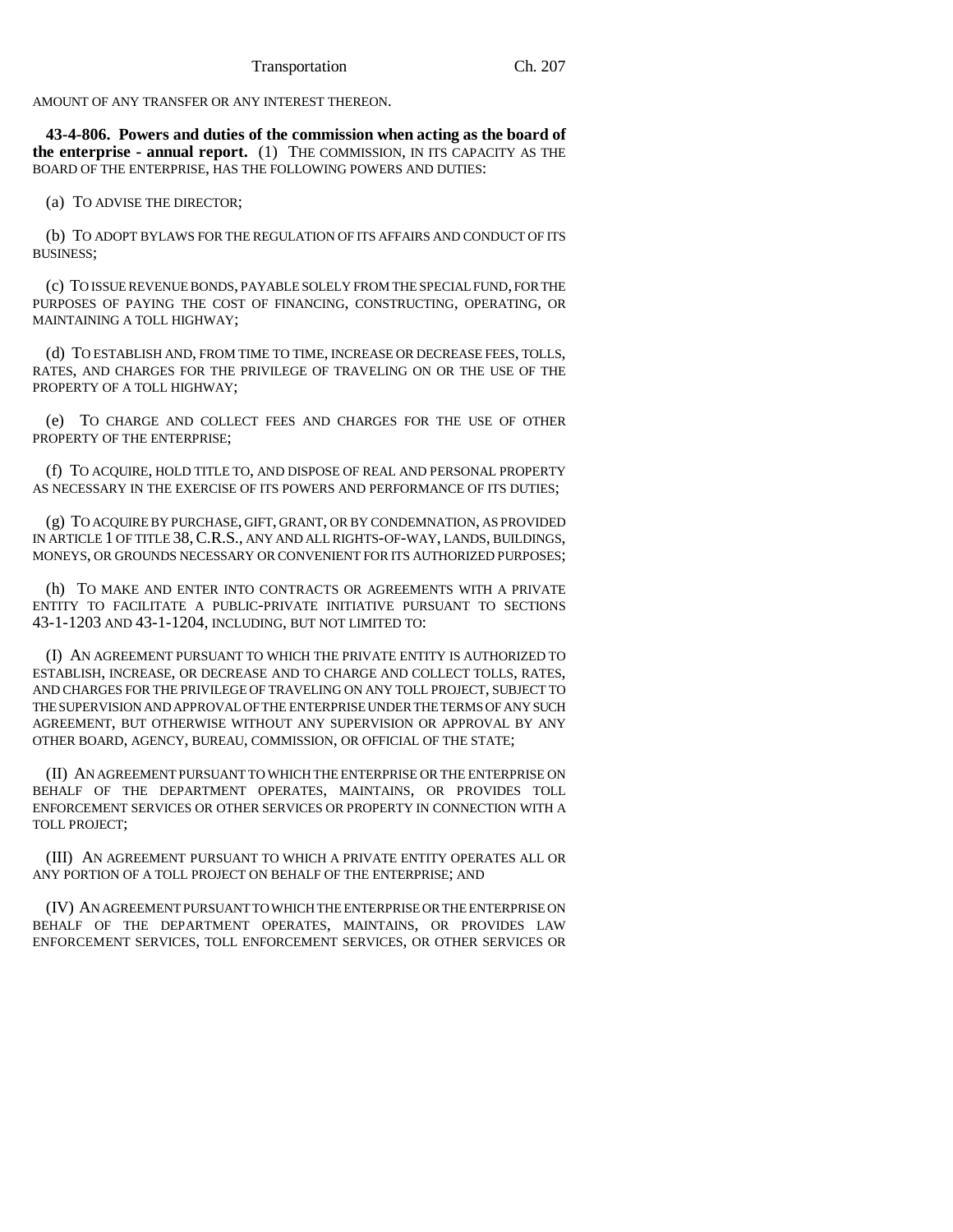AMOUNT OF ANY TRANSFER OR ANY INTEREST THEREON.

**43-4-806. Powers and duties of the commission when acting as the board of the enterprise - annual report.** (1) THE COMMISSION, IN ITS CAPACITY AS THE BOARD OF THE ENTERPRISE, HAS THE FOLLOWING POWERS AND DUTIES:

(a) TO ADVISE THE DIRECTOR;

(b) TO ADOPT BYLAWS FOR THE REGULATION OF ITS AFFAIRS AND CONDUCT OF ITS BUSINESS;

(c) TO ISSUE REVENUE BONDS, PAYABLE SOLELY FROM THE SPECIAL FUND, FOR THE PURPOSES OF PAYING THE COST OF FINANCING, CONSTRUCTING, OPERATING, OR MAINTAINING A TOLL HIGHWAY;

(d) TO ESTABLISH AND, FROM TIME TO TIME, INCREASE OR DECREASE FEES, TOLLS, RATES, AND CHARGES FOR THE PRIVILEGE OF TRAVELING ON OR THE USE OF THE PROPERTY OF A TOLL HIGHWAY:

(e) TO CHARGE AND COLLECT FEES AND CHARGES FOR THE USE OF OTHER PROPERTY OF THE ENTERPRISE;

(f) TO ACQUIRE, HOLD TITLE TO, AND DISPOSE OF REAL AND PERSONAL PROPERTY AS NECESSARY IN THE EXERCISE OF ITS POWERS AND PERFORMANCE OF ITS DUTIES;

(g) TO ACQUIRE BY PURCHASE, GIFT, GRANT, OR BY CONDEMNATION, AS PROVIDED IN ARTICLE 1 OF TITLE 38,C.R.S., ANY AND ALL RIGHTS-OF-WAY, LANDS, BUILDINGS, MONEYS, OR GROUNDS NECESSARY OR CONVENIENT FOR ITS AUTHORIZED PURPOSES;

(h) TO MAKE AND ENTER INTO CONTRACTS OR AGREEMENTS WITH A PRIVATE ENTITY TO FACILITATE A PUBLIC-PRIVATE INITIATIVE PURSUANT TO SECTIONS 43-1-1203 AND 43-1-1204, INCLUDING, BUT NOT LIMITED TO:

(I) AN AGREEMENT PURSUANT TO WHICH THE PRIVATE ENTITY IS AUTHORIZED TO ESTABLISH, INCREASE, OR DECREASE AND TO CHARGE AND COLLECT TOLLS, RATES, AND CHARGES FOR THE PRIVILEGE OF TRAVELING ON ANY TOLL PROJECT, SUBJECT TO THE SUPERVISION AND APPROVAL OF THE ENTERPRISE UNDER THE TERMS OF ANY SUCH AGREEMENT, BUT OTHERWISE WITHOUT ANY SUPERVISION OR APPROVAL BY ANY OTHER BOARD, AGENCY, BUREAU, COMMISSION, OR OFFICIAL OF THE STATE;

(II) AN AGREEMENT PURSUANT TO WHICH THE ENTERPRISE OR THE ENTERPRISE ON BEHALF OF THE DEPARTMENT OPERATES, MAINTAINS, OR PROVIDES TOLL ENFORCEMENT SERVICES OR OTHER SERVICES OR PROPERTY IN CONNECTION WITH A TOLL PROJECT;

(III) AN AGREEMENT PURSUANT TO WHICH A PRIVATE ENTITY OPERATES ALL OR ANY PORTION OF A TOLL PROJECT ON BEHALF OF THE ENTERPRISE; AND

(IV) AN AGREEMENT PURSUANT TO WHICH THE ENTERPRISE OR THE ENTERPRISE ON BEHALF OF THE DEPARTMENT OPERATES, MAINTAINS, OR PROVIDES LAW ENFORCEMENT SERVICES, TOLL ENFORCEMENT SERVICES, OR OTHER SERVICES OR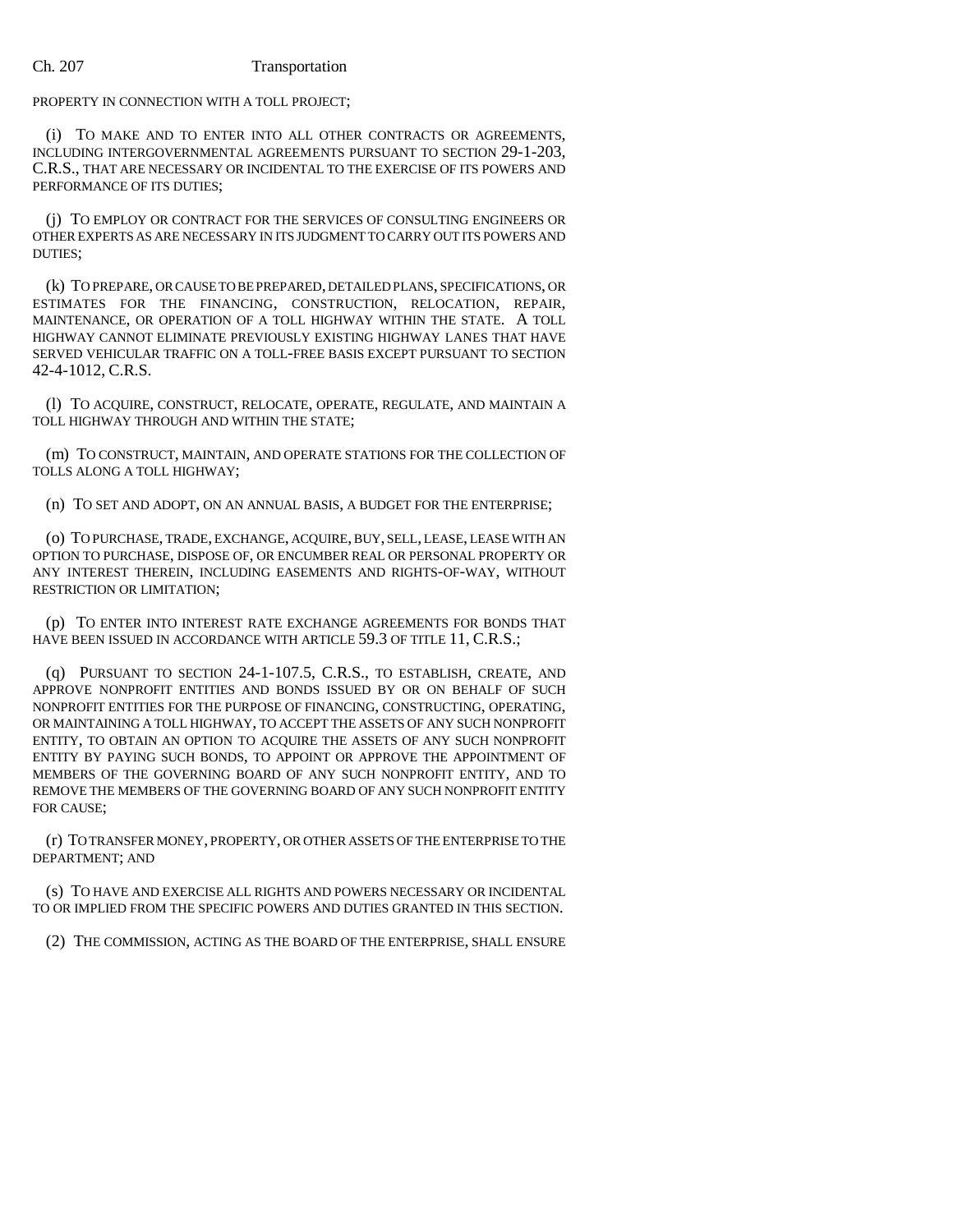PROPERTY IN CONNECTION WITH A TOLL PROJECT;

(i) TO MAKE AND TO ENTER INTO ALL OTHER CONTRACTS OR AGREEMENTS, INCLUDING INTERGOVERNMENTAL AGREEMENTS PURSUANT TO SECTION 29-1-203, C.R.S., THAT ARE NECESSARY OR INCIDENTAL TO THE EXERCISE OF ITS POWERS AND PERFORMANCE OF ITS DUTIES;

(j) TO EMPLOY OR CONTRACT FOR THE SERVICES OF CONSULTING ENGINEERS OR OTHER EXPERTS AS ARE NECESSARY IN ITS JUDGMENT TO CARRY OUT ITS POWERS AND DUTIES;

(k) TO PREPARE, OR CAUSE TO BE PREPARED, DETAILED PLANS, SPECIFICATIONS, OR ESTIMATES FOR THE FINANCING, CONSTRUCTION, RELOCATION, REPAIR, MAINTENANCE, OR OPERATION OF A TOLL HIGHWAY WITHIN THE STATE. A TOLL HIGHWAY CANNOT ELIMINATE PREVIOUSLY EXISTING HIGHWAY LANES THAT HAVE SERVED VEHICULAR TRAFFIC ON A TOLL-FREE BASIS EXCEPT PURSUANT TO SECTION 42-4-1012, C.R.S.

(l) TO ACQUIRE, CONSTRUCT, RELOCATE, OPERATE, REGULATE, AND MAINTAIN A TOLL HIGHWAY THROUGH AND WITHIN THE STATE;

(m) TO CONSTRUCT, MAINTAIN, AND OPERATE STATIONS FOR THE COLLECTION OF TOLLS ALONG A TOLL HIGHWAY;

(n) TO SET AND ADOPT, ON AN ANNUAL BASIS, A BUDGET FOR THE ENTERPRISE;

(o) TO PURCHASE, TRADE, EXCHANGE, ACQUIRE, BUY, SELL, LEASE, LEASE WITH AN OPTION TO PURCHASE, DISPOSE OF, OR ENCUMBER REAL OR PERSONAL PROPERTY OR ANY INTEREST THEREIN, INCLUDING EASEMENTS AND RIGHTS-OF-WAY, WITHOUT RESTRICTION OR LIMITATION;

(p) TO ENTER INTO INTEREST RATE EXCHANGE AGREEMENTS FOR BONDS THAT HAVE BEEN ISSUED IN ACCORDANCE WITH ARTICLE 59.3 OF TITLE 11, C.R.S.;

(q) PURSUANT TO SECTION 24-1-107.5, C.R.S., TO ESTABLISH, CREATE, AND APPROVE NONPROFIT ENTITIES AND BONDS ISSUED BY OR ON BEHALF OF SUCH NONPROFIT ENTITIES FOR THE PURPOSE OF FINANCING, CONSTRUCTING, OPERATING, OR MAINTAINING A TOLL HIGHWAY, TO ACCEPT THE ASSETS OF ANY SUCH NONPROFIT ENTITY, TO OBTAIN AN OPTION TO ACQUIRE THE ASSETS OF ANY SUCH NONPROFIT ENTITY BY PAYING SUCH BONDS, TO APPOINT OR APPROVE THE APPOINTMENT OF MEMBERS OF THE GOVERNING BOARD OF ANY SUCH NONPROFIT ENTITY, AND TO REMOVE THE MEMBERS OF THE GOVERNING BOARD OF ANY SUCH NONPROFIT ENTITY FOR CAUSE;

(r) TO TRANSFER MONEY, PROPERTY, OR OTHER ASSETS OF THE ENTERPRISE TO THE DEPARTMENT; AND

(s) TO HAVE AND EXERCISE ALL RIGHTS AND POWERS NECESSARY OR INCIDENTAL TO OR IMPLIED FROM THE SPECIFIC POWERS AND DUTIES GRANTED IN THIS SECTION.

(2) THE COMMISSION, ACTING AS THE BOARD OF THE ENTERPRISE, SHALL ENSURE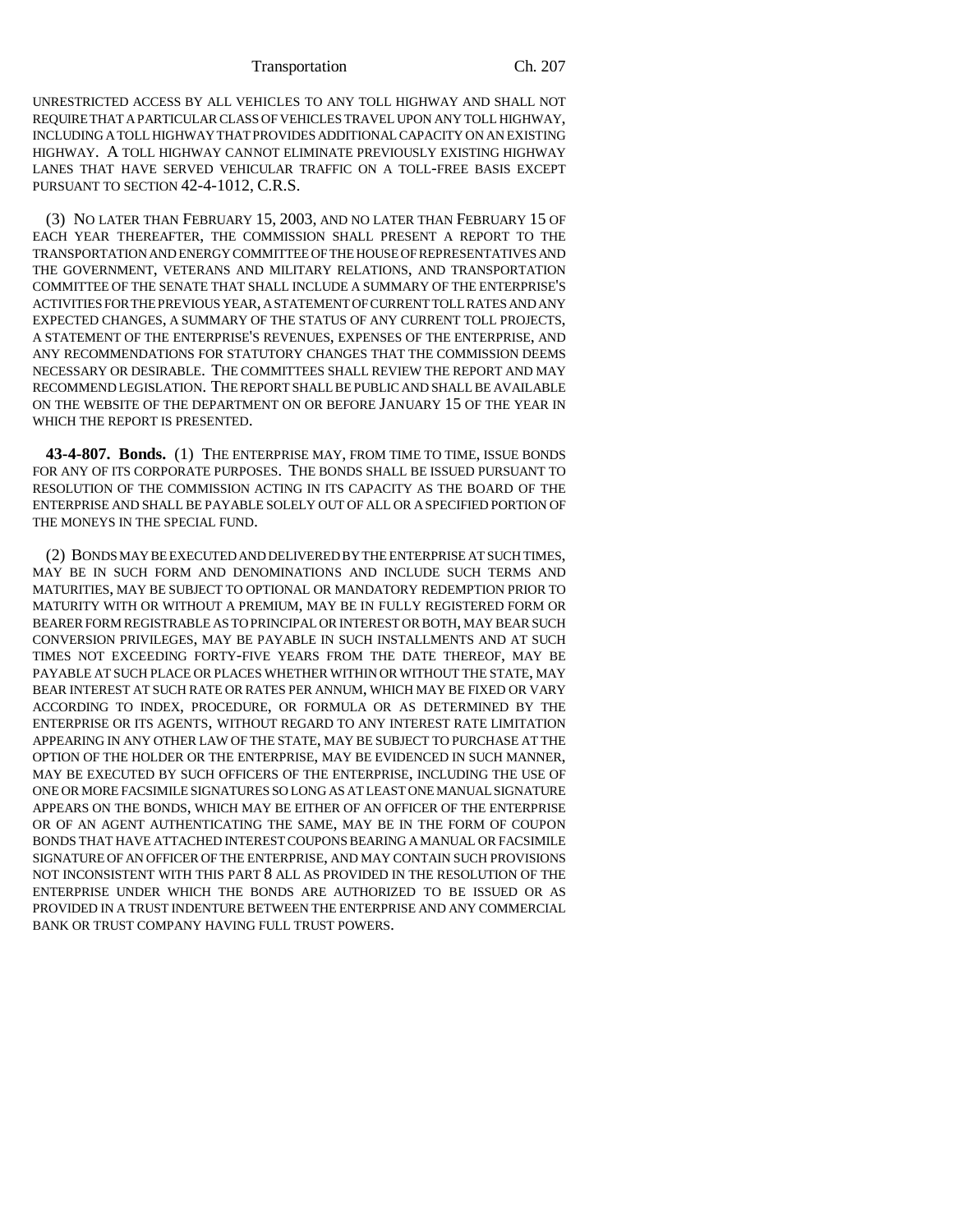UNRESTRICTED ACCESS BY ALL VEHICLES TO ANY TOLL HIGHWAY AND SHALL NOT REQUIRE THAT A PARTICULAR CLASS OF VEHICLES TRAVEL UPON ANY TOLL HIGHWAY, INCLUDING A TOLL HIGHWAY THAT PROVIDES ADDITIONAL CAPACITY ON AN EXISTING HIGHWAY. A TOLL HIGHWAY CANNOT ELIMINATE PREVIOUSLY EXISTING HIGHWAY LANES THAT HAVE SERVED VEHICULAR TRAFFIC ON A TOLL-FREE BASIS EXCEPT PURSUANT TO SECTION 42-4-1012, C.R.S.

(3) NO LATER THAN FEBRUARY 15, 2003, AND NO LATER THAN FEBRUARY 15 OF EACH YEAR THEREAFTER, THE COMMISSION SHALL PRESENT A REPORT TO THE TRANSPORTATION AND ENERGY COMMITTEE OF THE HOUSE OF REPRESENTATIVES AND THE GOVERNMENT, VETERANS AND MILITARY RELATIONS, AND TRANSPORTATION COMMITTEE OF THE SENATE THAT SHALL INCLUDE A SUMMARY OF THE ENTERPRISE'S ACTIVITIES FOR THE PREVIOUS YEAR, A STATEMENT OF CURRENT TOLL RATES AND ANY EXPECTED CHANGES, A SUMMARY OF THE STATUS OF ANY CURRENT TOLL PROJECTS, A STATEMENT OF THE ENTERPRISE'S REVENUES, EXPENSES OF THE ENTERPRISE, AND ANY RECOMMENDATIONS FOR STATUTORY CHANGES THAT THE COMMISSION DEEMS NECESSARY OR DESIRABLE. THE COMMITTEES SHALL REVIEW THE REPORT AND MAY RECOMMEND LEGISLATION. THE REPORT SHALL BE PUBLIC AND SHALL BE AVAILABLE ON THE WEBSITE OF THE DEPARTMENT ON OR BEFORE JANUARY 15 OF THE YEAR IN WHICH THE REPORT IS PRESENTED.

**43-4-807. Bonds.** (1) THE ENTERPRISE MAY, FROM TIME TO TIME, ISSUE BONDS FOR ANY OF ITS CORPORATE PURPOSES. THE BONDS SHALL BE ISSUED PURSUANT TO RESOLUTION OF THE COMMISSION ACTING IN ITS CAPACITY AS THE BOARD OF THE ENTERPRISE AND SHALL BE PAYABLE SOLELY OUT OF ALL OR A SPECIFIED PORTION OF THE MONEYS IN THE SPECIAL FUND.

(2) BONDS MAY BE EXECUTED AND DELIVERED BY THE ENTERPRISE AT SUCH TIMES, MAY BE IN SUCH FORM AND DENOMINATIONS AND INCLUDE SUCH TERMS AND MATURITIES, MAY BE SUBJECT TO OPTIONAL OR MANDATORY REDEMPTION PRIOR TO MATURITY WITH OR WITHOUT A PREMIUM, MAY BE IN FULLY REGISTERED FORM OR BEARER FORM REGISTRABLE AS TO PRINCIPAL OR INTEREST OR BOTH, MAY BEAR SUCH CONVERSION PRIVILEGES, MAY BE PAYABLE IN SUCH INSTALLMENTS AND AT SUCH TIMES NOT EXCEEDING FORTY-FIVE YEARS FROM THE DATE THEREOF, MAY BE PAYABLE AT SUCH PLACE OR PLACES WHETHER WITHIN OR WITHOUT THE STATE, MAY BEAR INTEREST AT SUCH RATE OR RATES PER ANNUM, WHICH MAY BE FIXED OR VARY ACCORDING TO INDEX, PROCEDURE, OR FORMULA OR AS DETERMINED BY THE ENTERPRISE OR ITS AGENTS, WITHOUT REGARD TO ANY INTEREST RATE LIMITATION APPEARING IN ANY OTHER LAW OF THE STATE, MAY BE SUBJECT TO PURCHASE AT THE OPTION OF THE HOLDER OR THE ENTERPRISE, MAY BE EVIDENCED IN SUCH MANNER, MAY BE EXECUTED BY SUCH OFFICERS OF THE ENTERPRISE, INCLUDING THE USE OF ONE OR MORE FACSIMILE SIGNATURES SO LONG AS AT LEAST ONE MANUAL SIGNATURE APPEARS ON THE BONDS, WHICH MAY BE EITHER OF AN OFFICER OF THE ENTERPRISE OR OF AN AGENT AUTHENTICATING THE SAME, MAY BE IN THE FORM OF COUPON BONDS THAT HAVE ATTACHED INTEREST COUPONS BEARING A MANUAL OR FACSIMILE SIGNATURE OF AN OFFICER OF THE ENTERPRISE, AND MAY CONTAIN SUCH PROVISIONS NOT INCONSISTENT WITH THIS PART 8 ALL AS PROVIDED IN THE RESOLUTION OF THE ENTERPRISE UNDER WHICH THE BONDS ARE AUTHORIZED TO BE ISSUED OR AS PROVIDED IN A TRUST INDENTURE BETWEEN THE ENTERPRISE AND ANY COMMERCIAL BANK OR TRUST COMPANY HAVING FULL TRUST POWERS.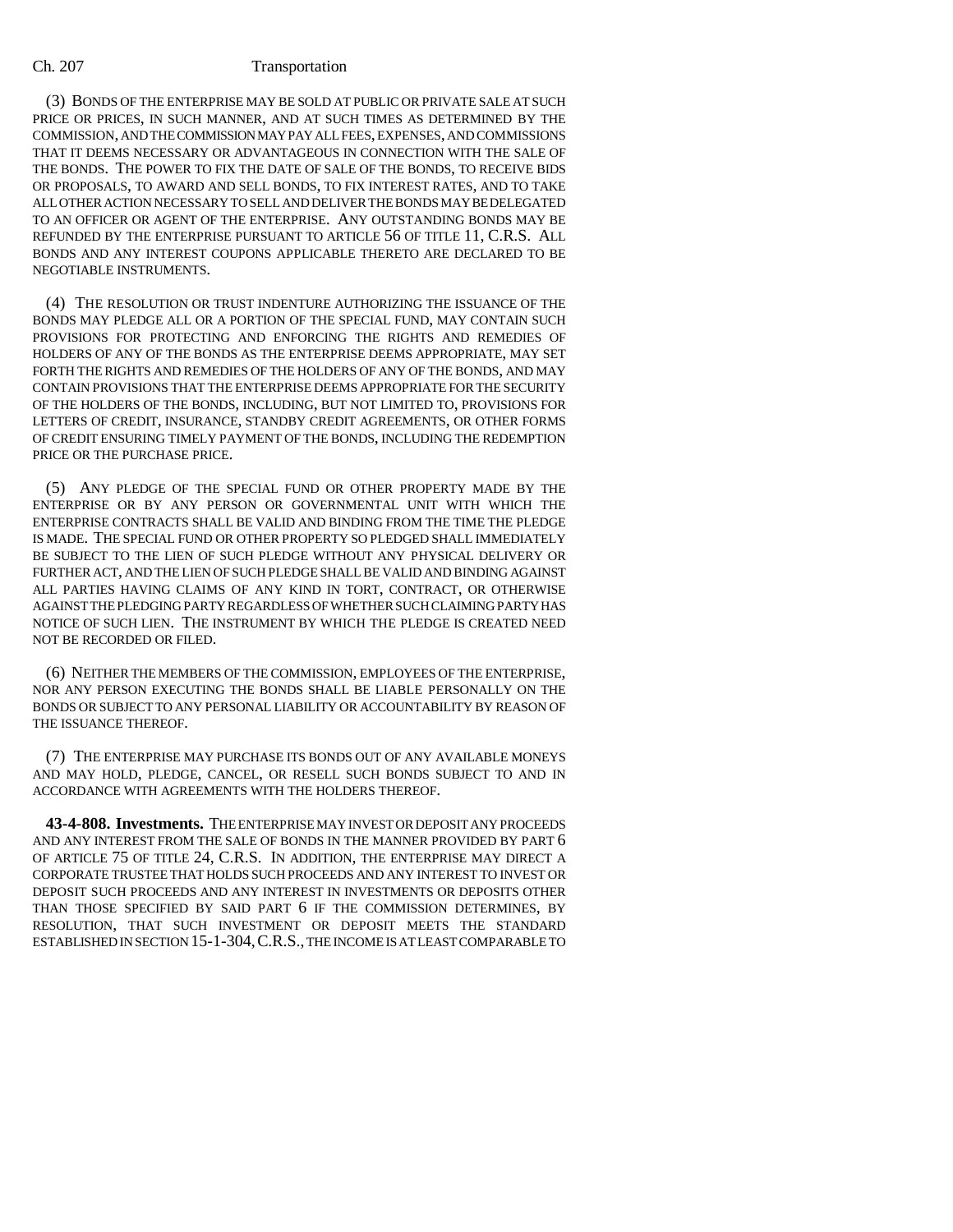(3) BONDS OF THE ENTERPRISE MAY BE SOLD AT PUBLIC OR PRIVATE SALE AT SUCH PRICE OR PRICES, IN SUCH MANNER, AND AT SUCH TIMES AS DETERMINED BY THE COMMISSION, AND THE COMMISSION MAY PAY ALL FEES, EXPENSES, AND COMMISSIONS THAT IT DEEMS NECESSARY OR ADVANTAGEOUS IN CONNECTION WITH THE SALE OF THE BONDS. THE POWER TO FIX THE DATE OF SALE OF THE BONDS, TO RECEIVE BIDS OR PROPOSALS, TO AWARD AND SELL BONDS, TO FIX INTEREST RATES, AND TO TAKE ALL OTHER ACTION NECESSARY TO SELL AND DELIVER THE BONDS MAY BE DELEGATED TO AN OFFICER OR AGENT OF THE ENTERPRISE. ANY OUTSTANDING BONDS MAY BE REFUNDED BY THE ENTERPRISE PURSUANT TO ARTICLE 56 OF TITLE 11, C.R.S. ALL BONDS AND ANY INTEREST COUPONS APPLICABLE THERETO ARE DECLARED TO BE NEGOTIABLE INSTRUMENTS.

(4) THE RESOLUTION OR TRUST INDENTURE AUTHORIZING THE ISSUANCE OF THE BONDS MAY PLEDGE ALL OR A PORTION OF THE SPECIAL FUND, MAY CONTAIN SUCH PROVISIONS FOR PROTECTING AND ENFORCING THE RIGHTS AND REMEDIES OF HOLDERS OF ANY OF THE BONDS AS THE ENTERPRISE DEEMS APPROPRIATE, MAY SET FORTH THE RIGHTS AND REMEDIES OF THE HOLDERS OF ANY OF THE BONDS, AND MAY CONTAIN PROVISIONS THAT THE ENTERPRISE DEEMS APPROPRIATE FOR THE SECURITY OF THE HOLDERS OF THE BONDS, INCLUDING, BUT NOT LIMITED TO, PROVISIONS FOR LETTERS OF CREDIT, INSURANCE, STANDBY CREDIT AGREEMENTS, OR OTHER FORMS OF CREDIT ENSURING TIMELY PAYMENT OF THE BONDS, INCLUDING THE REDEMPTION PRICE OR THE PURCHASE PRICE.

(5) ANY PLEDGE OF THE SPECIAL FUND OR OTHER PROPERTY MADE BY THE ENTERPRISE OR BY ANY PERSON OR GOVERNMENTAL UNIT WITH WHICH THE ENTERPRISE CONTRACTS SHALL BE VALID AND BINDING FROM THE TIME THE PLEDGE IS MADE. THE SPECIAL FUND OR OTHER PROPERTY SO PLEDGED SHALL IMMEDIATELY BE SUBJECT TO THE LIEN OF SUCH PLEDGE WITHOUT ANY PHYSICAL DELIVERY OR FURTHER ACT, AND THE LIEN OF SUCH PLEDGE SHALL BE VALID AND BINDING AGAINST ALL PARTIES HAVING CLAIMS OF ANY KIND IN TORT, CONTRACT, OR OTHERWISE AGAINST THE PLEDGING PARTY REGARDLESS OF WHETHER SUCH CLAIMING PARTY HAS NOTICE OF SUCH LIEN. THE INSTRUMENT BY WHICH THE PLEDGE IS CREATED NEED NOT BE RECORDED OR FILED.

(6) NEITHER THE MEMBERS OF THE COMMISSION, EMPLOYEES OF THE ENTERPRISE, NOR ANY PERSON EXECUTING THE BONDS SHALL BE LIABLE PERSONALLY ON THE BONDS OR SUBJECT TO ANY PERSONAL LIABILITY OR ACCOUNTABILITY BY REASON OF THE ISSUANCE THEREOF.

(7) THE ENTERPRISE MAY PURCHASE ITS BONDS OUT OF ANY AVAILABLE MONEYS AND MAY HOLD, PLEDGE, CANCEL, OR RESELL SUCH BONDS SUBJECT TO AND IN ACCORDANCE WITH AGREEMENTS WITH THE HOLDERS THEREOF.

**43-4-808. Investments.** THE ENTERPRISE MAY INVEST OR DEPOSIT ANY PROCEEDS AND ANY INTEREST FROM THE SALE OF BONDS IN THE MANNER PROVIDED BY PART 6 OF ARTICLE 75 OF TITLE 24, C.R.S. IN ADDITION, THE ENTERPRISE MAY DIRECT A CORPORATE TRUSTEE THAT HOLDS SUCH PROCEEDS AND ANY INTEREST TO INVEST OR DEPOSIT SUCH PROCEEDS AND ANY INTEREST IN INVESTMENTS OR DEPOSITS OTHER THAN THOSE SPECIFIED BY SAID PART 6 IF THE COMMISSION DETERMINES, BY RESOLUTION, THAT SUCH INVESTMENT OR DEPOSIT MEETS THE STANDARD ESTABLISHED IN SECTION 15-1-304,C.R.S., THE INCOME IS AT LEAST COMPARABLE TO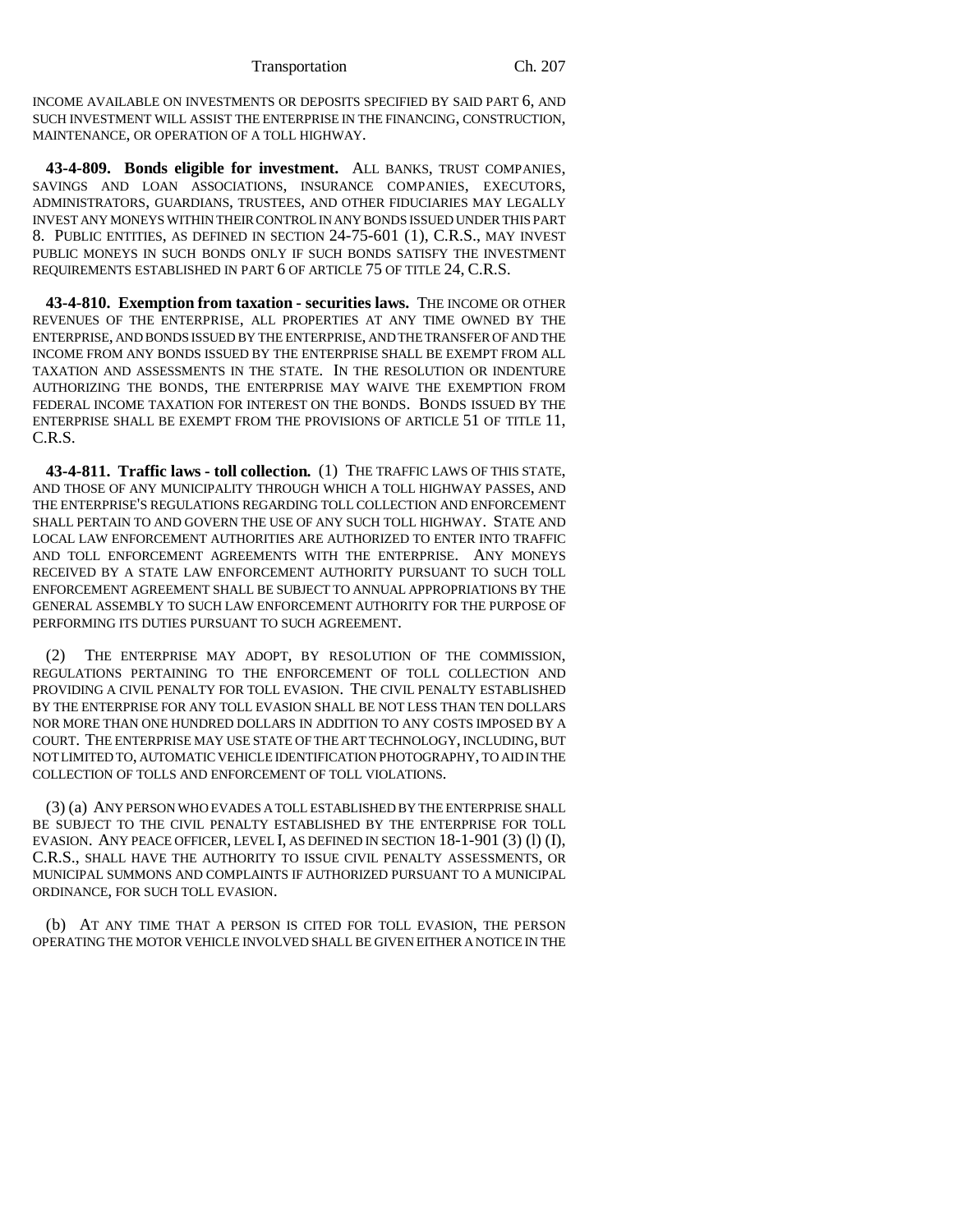INCOME AVAILABLE ON INVESTMENTS OR DEPOSITS SPECIFIED BY SAID PART 6, AND SUCH INVESTMENT WILL ASSIST THE ENTERPRISE IN THE FINANCING, CONSTRUCTION, MAINTENANCE, OR OPERATION OF A TOLL HIGHWAY.

**43-4-809. Bonds eligible for investment.** ALL BANKS, TRUST COMPANIES, SAVINGS AND LOAN ASSOCIATIONS, INSURANCE COMPANIES, EXECUTORS, ADMINISTRATORS, GUARDIANS, TRUSTEES, AND OTHER FIDUCIARIES MAY LEGALLY INVEST ANY MONEYS WITHIN THEIR CONTROL IN ANY BONDS ISSUED UNDER THIS PART 8. PUBLIC ENTITIES, AS DEFINED IN SECTION 24-75-601 (1), C.R.S., MAY INVEST PUBLIC MONEYS IN SUCH BONDS ONLY IF SUCH BONDS SATISFY THE INVESTMENT REQUIREMENTS ESTABLISHED IN PART 6 OF ARTICLE 75 OF TITLE 24, C.R.S.

**43-4-810. Exemption from taxation - securities laws.** THE INCOME OR OTHER REVENUES OF THE ENTERPRISE, ALL PROPERTIES AT ANY TIME OWNED BY THE ENTERPRISE, AND BONDS ISSUED BY THE ENTERPRISE, AND THE TRANSFER OF AND THE INCOME FROM ANY BONDS ISSUED BY THE ENTERPRISE SHALL BE EXEMPT FROM ALL TAXATION AND ASSESSMENTS IN THE STATE. IN THE RESOLUTION OR INDENTURE AUTHORIZING THE BONDS, THE ENTERPRISE MAY WAIVE THE EXEMPTION FROM FEDERAL INCOME TAXATION FOR INTEREST ON THE BONDS. BONDS ISSUED BY THE ENTERPRISE SHALL BE EXEMPT FROM THE PROVISIONS OF ARTICLE 51 OF TITLE 11, C.R.S.

**43-4-811. Traffic laws - toll collection.** (1) THE TRAFFIC LAWS OF THIS STATE, AND THOSE OF ANY MUNICIPALITY THROUGH WHICH A TOLL HIGHWAY PASSES, AND THE ENTERPRISE'S REGULATIONS REGARDING TOLL COLLECTION AND ENFORCEMENT SHALL PERTAIN TO AND GOVERN THE USE OF ANY SUCH TOLL HIGHWAY. STATE AND LOCAL LAW ENFORCEMENT AUTHORITIES ARE AUTHORIZED TO ENTER INTO TRAFFIC AND TOLL ENFORCEMENT AGREEMENTS WITH THE ENTERPRISE. ANY MONEYS RECEIVED BY A STATE LAW ENFORCEMENT AUTHORITY PURSUANT TO SUCH TOLL ENFORCEMENT AGREEMENT SHALL BE SUBJECT TO ANNUAL APPROPRIATIONS BY THE GENERAL ASSEMBLY TO SUCH LAW ENFORCEMENT AUTHORITY FOR THE PURPOSE OF PERFORMING ITS DUTIES PURSUANT TO SUCH AGREEMENT.

(2) THE ENTERPRISE MAY ADOPT, BY RESOLUTION OF THE COMMISSION, REGULATIONS PERTAINING TO THE ENFORCEMENT OF TOLL COLLECTION AND PROVIDING A CIVIL PENALTY FOR TOLL EVASION. THE CIVIL PENALTY ESTABLISHED BY THE ENTERPRISE FOR ANY TOLL EVASION SHALL BE NOT LESS THAN TEN DOLLARS NOR MORE THAN ONE HUNDRED DOLLARS IN ADDITION TO ANY COSTS IMPOSED BY A COURT. THE ENTERPRISE MAY USE STATE OF THE ART TECHNOLOGY, INCLUDING, BUT NOT LIMITED TO, AUTOMATIC VEHICLE IDENTIFICATION PHOTOGRAPHY, TO AID IN THE COLLECTION OF TOLLS AND ENFORCEMENT OF TOLL VIOLATIONS.

(3) (a) ANY PERSON WHO EVADES A TOLL ESTABLISHED BY THE ENTERPRISE SHALL BE SUBJECT TO THE CIVIL PENALTY ESTABLISHED BY THE ENTERPRISE FOR TOLL EVASION. ANY PEACE OFFICER, LEVEL I, AS DEFINED IN SECTION 18-1-901 (3) (l) (I), C.R.S., SHALL HAVE THE AUTHORITY TO ISSUE CIVIL PENALTY ASSESSMENTS, OR MUNICIPAL SUMMONS AND COMPLAINTS IF AUTHORIZED PURSUANT TO A MUNICIPAL ORDINANCE, FOR SUCH TOLL EVASION.

(b) AT ANY TIME THAT A PERSON IS CITED FOR TOLL EVASION, THE PERSON OPERATING THE MOTOR VEHICLE INVOLVED SHALL BE GIVEN EITHER A NOTICE IN THE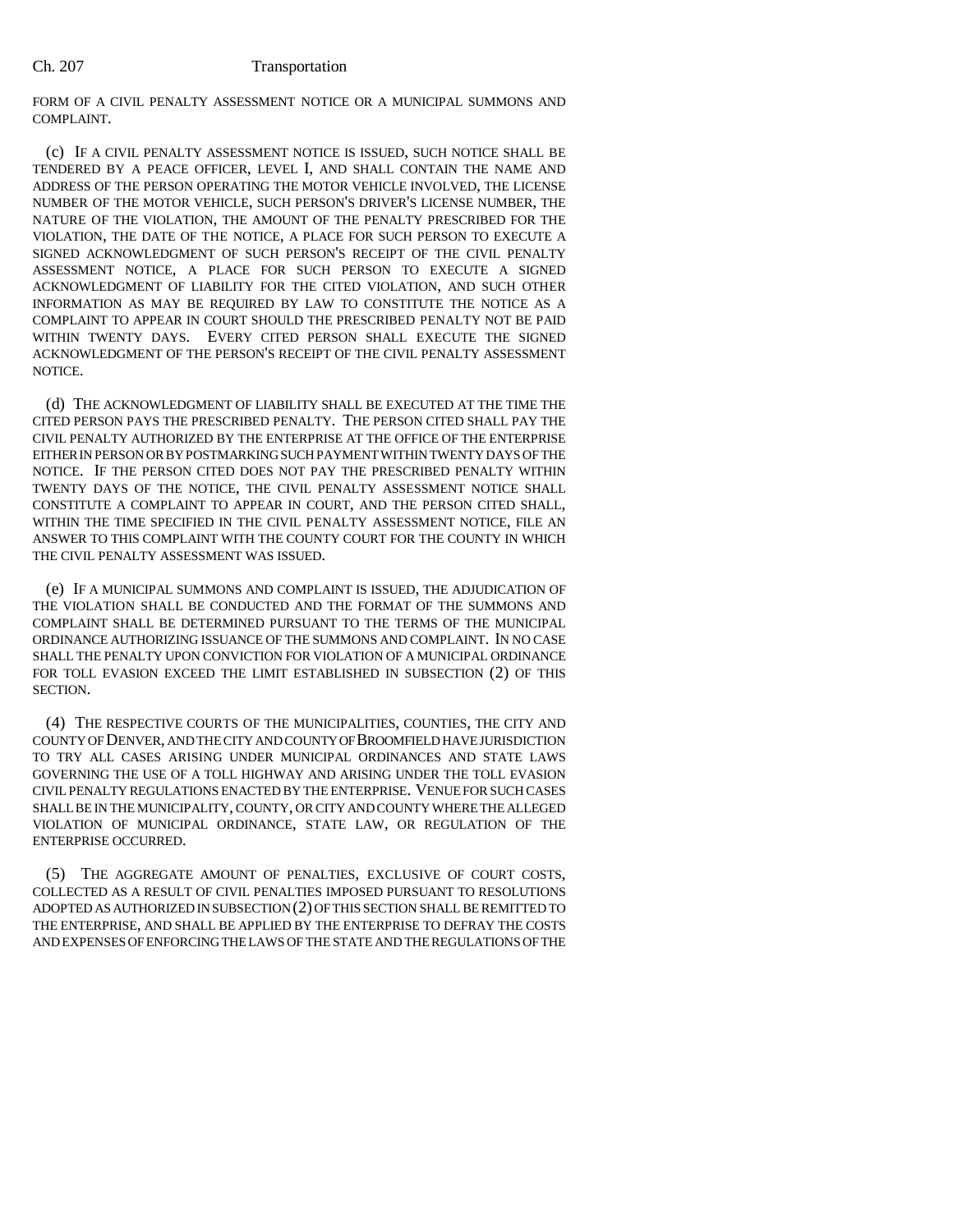FORM OF A CIVIL PENALTY ASSESSMENT NOTICE OR A MUNICIPAL SUMMONS AND COMPLAINT.

(c) IF A CIVIL PENALTY ASSESSMENT NOTICE IS ISSUED, SUCH NOTICE SHALL BE TENDERED BY A PEACE OFFICER, LEVEL I, AND SHALL CONTAIN THE NAME AND ADDRESS OF THE PERSON OPERATING THE MOTOR VEHICLE INVOLVED, THE LICENSE NUMBER OF THE MOTOR VEHICLE, SUCH PERSON'S DRIVER'S LICENSE NUMBER, THE NATURE OF THE VIOLATION, THE AMOUNT OF THE PENALTY PRESCRIBED FOR THE VIOLATION, THE DATE OF THE NOTICE, A PLACE FOR SUCH PERSON TO EXECUTE A SIGNED ACKNOWLEDGMENT OF SUCH PERSON'S RECEIPT OF THE CIVIL PENALTY ASSESSMENT NOTICE, A PLACE FOR SUCH PERSON TO EXECUTE A SIGNED ACKNOWLEDGMENT OF LIABILITY FOR THE CITED VIOLATION, AND SUCH OTHER INFORMATION AS MAY BE REQUIRED BY LAW TO CONSTITUTE THE NOTICE AS A COMPLAINT TO APPEAR IN COURT SHOULD THE PRESCRIBED PENALTY NOT BE PAID WITHIN TWENTY DAYS. EVERY CITED PERSON SHALL EXECUTE THE SIGNED ACKNOWLEDGMENT OF THE PERSON'S RECEIPT OF THE CIVIL PENALTY ASSESSMENT NOTICE.

(d) THE ACKNOWLEDGMENT OF LIABILITY SHALL BE EXECUTED AT THE TIME THE CITED PERSON PAYS THE PRESCRIBED PENALTY. THE PERSON CITED SHALL PAY THE CIVIL PENALTY AUTHORIZED BY THE ENTERPRISE AT THE OFFICE OF THE ENTERPRISE EITHER IN PERSON OR BY POSTMARKING SUCH PAYMENT WITHIN TWENTY DAYS OF THE NOTICE. IF THE PERSON CITED DOES NOT PAY THE PRESCRIBED PENALTY WITHIN TWENTY DAYS OF THE NOTICE, THE CIVIL PENALTY ASSESSMENT NOTICE SHALL CONSTITUTE A COMPLAINT TO APPEAR IN COURT, AND THE PERSON CITED SHALL, WITHIN THE TIME SPECIFIED IN THE CIVIL PENALTY ASSESSMENT NOTICE, FILE AN ANSWER TO THIS COMPLAINT WITH THE COUNTY COURT FOR THE COUNTY IN WHICH THE CIVIL PENALTY ASSESSMENT WAS ISSUED.

(e) IF A MUNICIPAL SUMMONS AND COMPLAINT IS ISSUED, THE ADJUDICATION OF THE VIOLATION SHALL BE CONDUCTED AND THE FORMAT OF THE SUMMONS AND COMPLAINT SHALL BE DETERMINED PURSUANT TO THE TERMS OF THE MUNICIPAL ORDINANCE AUTHORIZING ISSUANCE OF THE SUMMONS AND COMPLAINT. IN NO CASE SHALL THE PENALTY UPON CONVICTION FOR VIOLATION OF A MUNICIPAL ORDINANCE FOR TOLL EVASION EXCEED THE LIMIT ESTABLISHED IN SUBSECTION (2) OF THIS SECTION.

(4) THE RESPECTIVE COURTS OF THE MUNICIPALITIES, COUNTIES, THE CITY AND COUNTY OF DENVER, AND THE CITY AND COUNTY OF BROOMFIELD HAVE JURISDICTION TO TRY ALL CASES ARISING UNDER MUNICIPAL ORDINANCES AND STATE LAWS GOVERNING THE USE OF A TOLL HIGHWAY AND ARISING UNDER THE TOLL EVASION CIVIL PENALTY REGULATIONS ENACTED BY THE ENTERPRISE. VENUE FOR SUCH CASES SHALL BE IN THE MUNICIPALITY, COUNTY, OR CITY AND COUNTY WHERE THE ALLEGED VIOLATION OF MUNICIPAL ORDINANCE, STATE LAW, OR REGULATION OF THE ENTERPRISE OCCURRED.

(5) THE AGGREGATE AMOUNT OF PENALTIES, EXCLUSIVE OF COURT COSTS, COLLECTED AS A RESULT OF CIVIL PENALTIES IMPOSED PURSUANT TO RESOLUTIONS ADOPTED AS AUTHORIZED IN SUBSECTION (2) OF THIS SECTION SHALL BE REMITTED TO THE ENTERPRISE, AND SHALL BE APPLIED BY THE ENTERPRISE TO DEFRAY THE COSTS AND EXPENSES OF ENFORCING THE LAWS OF THE STATE AND THE REGULATIONS OF THE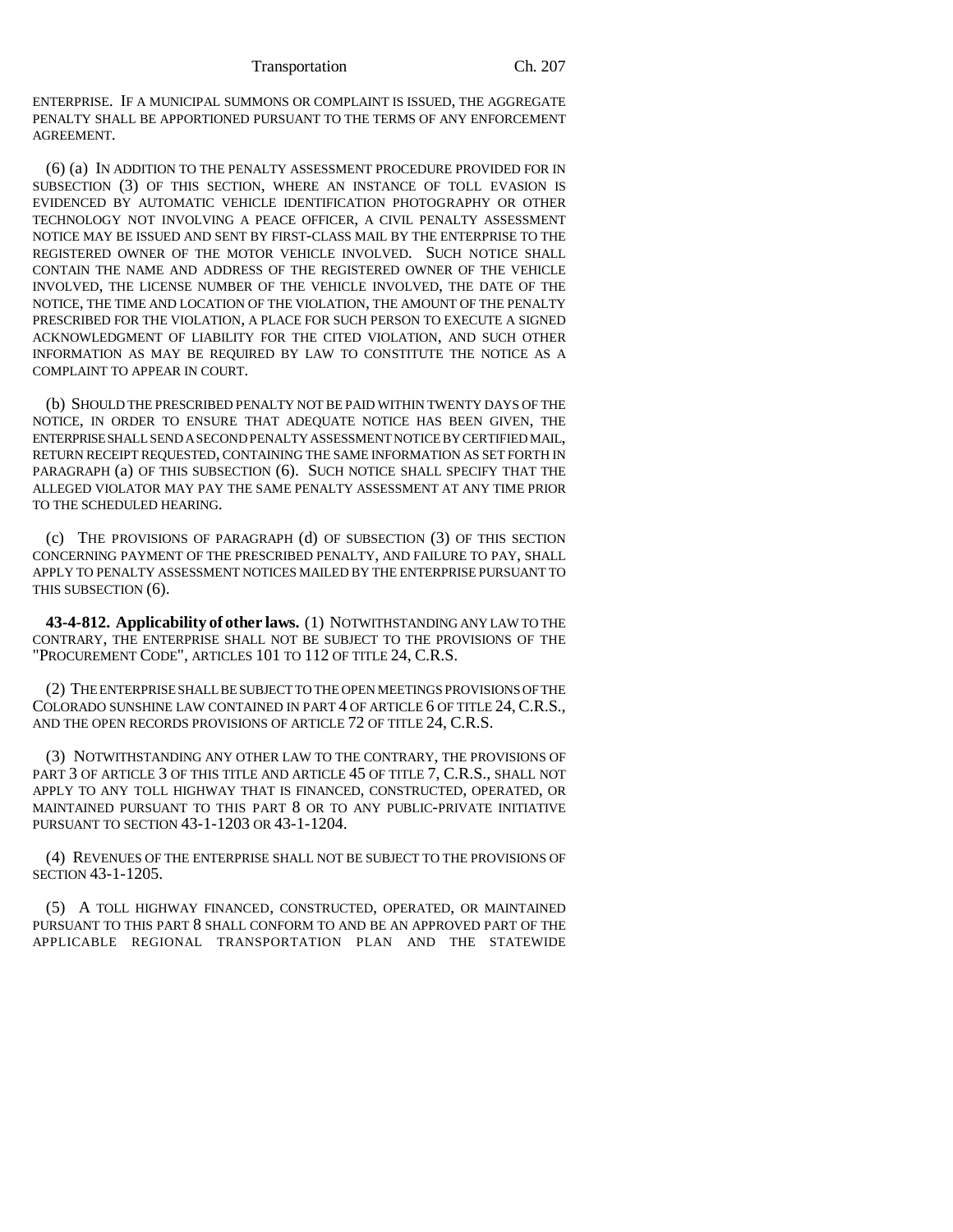ENTERPRISE. IF A MUNICIPAL SUMMONS OR COMPLAINT IS ISSUED, THE AGGREGATE PENALTY SHALL BE APPORTIONED PURSUANT TO THE TERMS OF ANY ENFORCEMENT AGREEMENT.

(6) (a) IN ADDITION TO THE PENALTY ASSESSMENT PROCEDURE PROVIDED FOR IN SUBSECTION (3) OF THIS SECTION, WHERE AN INSTANCE OF TOLL EVASION IS EVIDENCED BY AUTOMATIC VEHICLE IDENTIFICATION PHOTOGRAPHY OR OTHER TECHNOLOGY NOT INVOLVING A PEACE OFFICER, A CIVIL PENALTY ASSESSMENT NOTICE MAY BE ISSUED AND SENT BY FIRST-CLASS MAIL BY THE ENTERPRISE TO THE REGISTERED OWNER OF THE MOTOR VEHICLE INVOLVED. SUCH NOTICE SHALL CONTAIN THE NAME AND ADDRESS OF THE REGISTERED OWNER OF THE VEHICLE INVOLVED, THE LICENSE NUMBER OF THE VEHICLE INVOLVED, THE DATE OF THE NOTICE, THE TIME AND LOCATION OF THE VIOLATION, THE AMOUNT OF THE PENALTY PRESCRIBED FOR THE VIOLATION, A PLACE FOR SUCH PERSON TO EXECUTE A SIGNED ACKNOWLEDGMENT OF LIABILITY FOR THE CITED VIOLATION, AND SUCH OTHER INFORMATION AS MAY BE REQUIRED BY LAW TO CONSTITUTE THE NOTICE AS A COMPLAINT TO APPEAR IN COURT.

(b) SHOULD THE PRESCRIBED PENALTY NOT BE PAID WITHIN TWENTY DAYS OF THE NOTICE, IN ORDER TO ENSURE THAT ADEQUATE NOTICE HAS BEEN GIVEN, THE ENTERPRISE SHALL SEND A SECOND PENALTY ASSESSMENT NOTICE BY CERTIFIED MAIL, RETURN RECEIPT REQUESTED, CONTAINING THE SAME INFORMATION AS SET FORTH IN PARAGRAPH (a) OF THIS SUBSECTION (6). SUCH NOTICE SHALL SPECIFY THAT THE ALLEGED VIOLATOR MAY PAY THE SAME PENALTY ASSESSMENT AT ANY TIME PRIOR TO THE SCHEDULED HEARING.

(c) THE PROVISIONS OF PARAGRAPH (d) OF SUBSECTION (3) OF THIS SECTION CONCERNING PAYMENT OF THE PRESCRIBED PENALTY, AND FAILURE TO PAY, SHALL APPLY TO PENALTY ASSESSMENT NOTICES MAILED BY THE ENTERPRISE PURSUANT TO THIS SUBSECTION (6).

**43-4-812. Applicability of other laws.** (1) NOTWITHSTANDING ANY LAW TO THE CONTRARY, THE ENTERPRISE SHALL NOT BE SUBJECT TO THE PROVISIONS OF THE "PROCUREMENT CODE", ARTICLES 101 TO 112 OF TITLE 24, C.R.S.

(2) THE ENTERPRISE SHALL BE SUBJECT TO THE OPEN MEETINGS PROVISIONS OF THE COLORADO SUNSHINE LAW CONTAINED IN PART 4 OF ARTICLE 6 OF TITLE 24, C.R.S., AND THE OPEN RECORDS PROVISIONS OF ARTICLE 72 OF TITLE 24, C.R.S.

(3) NOTWITHSTANDING ANY OTHER LAW TO THE CONTRARY, THE PROVISIONS OF PART 3 OF ARTICLE 3 OF THIS TITLE AND ARTICLE 45 OF TITLE 7, C.R.S., SHALL NOT APPLY TO ANY TOLL HIGHWAY THAT IS FINANCED, CONSTRUCTED, OPERATED, OR MAINTAINED PURSUANT TO THIS PART 8 OR TO ANY PUBLIC-PRIVATE INITIATIVE PURSUANT TO SECTION 43-1-1203 OR 43-1-1204.

(4) REVENUES OF THE ENTERPRISE SHALL NOT BE SUBJECT TO THE PROVISIONS OF SECTION 43-1-1205.

(5) A TOLL HIGHWAY FINANCED, CONSTRUCTED, OPERATED, OR MAINTAINED PURSUANT TO THIS PART 8 SHALL CONFORM TO AND BE AN APPROVED PART OF THE APPLICABLE REGIONAL TRANSPORTATION PLAN AND THE STATEWIDE